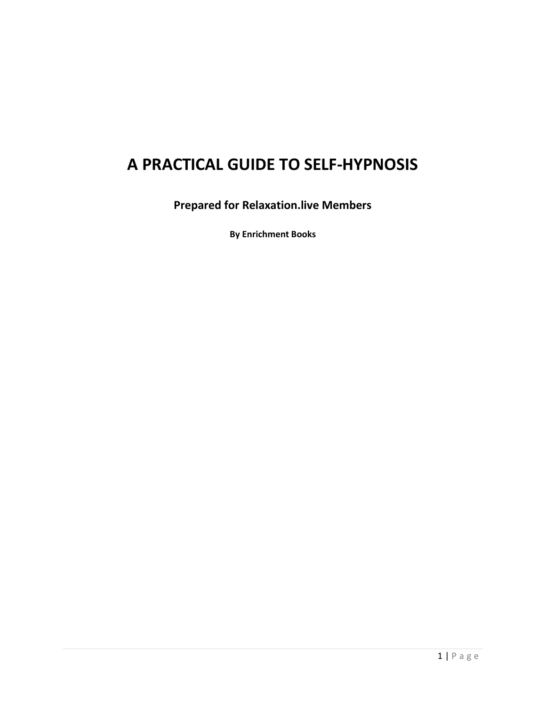# **A PRACTICAL GUIDE TO SELF-HYPNOSIS**

**Prepared for Relaxation.live Members** 

**By Enrichment Books**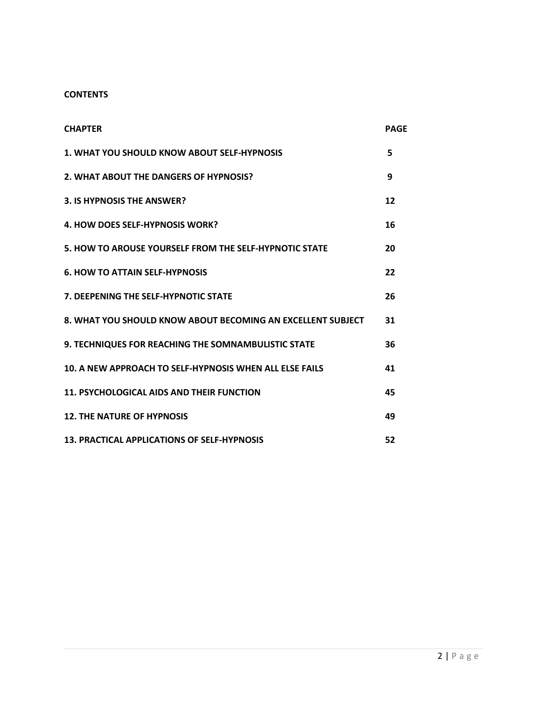#### **CONTENTS**

| <b>CHAPTER</b>                                              | <b>PAGF</b> |
|-------------------------------------------------------------|-------------|
| 1. WHAT YOU SHOULD KNOW ABOUT SELF-HYPNOSIS                 | 5           |
| 2. WHAT ABOUT THE DANGERS OF HYPNOSIS?                      | 9           |
| 3. IS HYPNOSIS THE ANSWER?                                  | 12          |
| <b>4. HOW DOES SELF-HYPNOSIS WORK?</b>                      | 16          |
| 5. HOW TO AROUSE YOURSELF FROM THE SELF-HYPNOTIC STATE      | 20          |
| <b>6. HOW TO ATTAIN SELF-HYPNOSIS</b>                       | 22          |
| <b>7. DEEPENING THE SELF-HYPNOTIC STATE</b>                 | 26          |
| 8. WHAT YOU SHOULD KNOW ABOUT BECOMING AN EXCELLENT SUBJECT | 31          |
| <b>9. TECHNIQUES FOR REACHING THE SOMNAMBULISTIC STATE</b>  | 36          |
| 10. A NEW APPROACH TO SELF-HYPNOSIS WHEN ALL ELSE FAILS     | 41          |
| <b>11. PSYCHOLOGICAL AIDS AND THEIR FUNCTION</b>            | 45          |
| <b>12. THE NATURE OF HYPNOSIS</b>                           | 49          |
| <b>13. PRACTICAL APPLICATIONS OF SELF-HYPNOSIS</b>          | 52          |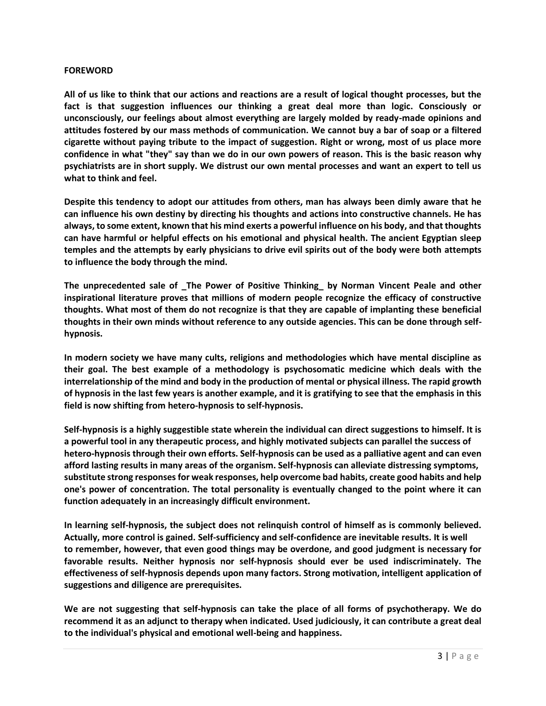#### **FOREWORD**

**All of us like to think that our actions and reactions are a result of logical thought processes, but the fact is that suggestion influences our thinking a great deal more than logic. Consciously or unconsciously, our feelings about almost everything are largely molded by ready-made opinions and attitudes fostered by our mass methods of communication. We cannot buy a bar of soap or a filtered cigarette without paying tribute to the impact of suggestion. Right or wrong, most of us place more confidence in what "they" say than we do in our own powers of reason. This is the basic reason why psychiatrists are in short supply. We distrust our own mental processes and want an expert to tell us what to think and feel.**

**Despite this tendency to adopt our attitudes from others, man has always been dimly aware that he can influence his own destiny by directing his thoughts and actions into constructive channels. He has always, to some extent, known that his mind exerts a powerful influence on his body, and that thoughts can have harmful or helpful effects on his emotional and physical health. The ancient Egyptian sleep temples and the attempts by early physicians to drive evil spirits out of the body were both attempts to influence the body through the mind.**

**The unprecedented sale of \_The Power of Positive Thinking\_ by Norman Vincent Peale and other inspirational literature proves that millions of modern people recognize the efficacy of constructive thoughts. What most of them do not recognize is that they are capable of implanting these beneficial thoughts in their own minds without reference to any outside agencies. This can be done through selfhypnosis.**

**In modern society we have many cults, religions and methodologies which have mental discipline as their goal. The best example of a methodology is psychosomatic medicine which deals with the interrelationship of the mind and body in the production of mental or physical illness. The rapid growth of hypnosis in the last few years is another example, and it is gratifying to see that the emphasis in this field is now shifting from hetero-hypnosis to self-hypnosis.**

**Self-hypnosis is a highly suggestible state wherein the individual can direct suggestions to himself. It is a powerful tool in any therapeutic process, and highly motivated subjects can parallel the success of hetero-hypnosis through their own efforts. Self-hypnosis can be used as a palliative agent and can even afford lasting results in many areas of the organism. Self-hypnosis can alleviate distressing symptoms, substitute strong responses for weak responses, help overcome bad habits, create good habits and help one's power of concentration. The total personality is eventually changed to the point where it can function adequately in an increasingly difficult environment.**

**In learning self-hypnosis, the subject does not relinquish control of himself as is commonly believed. Actually, more control is gained. Self-sufficiency and self-confidence are inevitable results. It is well to remember, however, that even good things may be overdone, and good judgment is necessary for favorable results. Neither hypnosis nor self-hypnosis should ever be used indiscriminately. The effectiveness of self-hypnosis depends upon many factors. Strong motivation, intelligent application of suggestions and diligence are prerequisites.**

**We are not suggesting that self-hypnosis can take the place of all forms of psychotherapy. We do recommend it as an adjunct to therapy when indicated. Used judiciously, it can contribute a great deal to the individual's physical and emotional well-being and happiness.**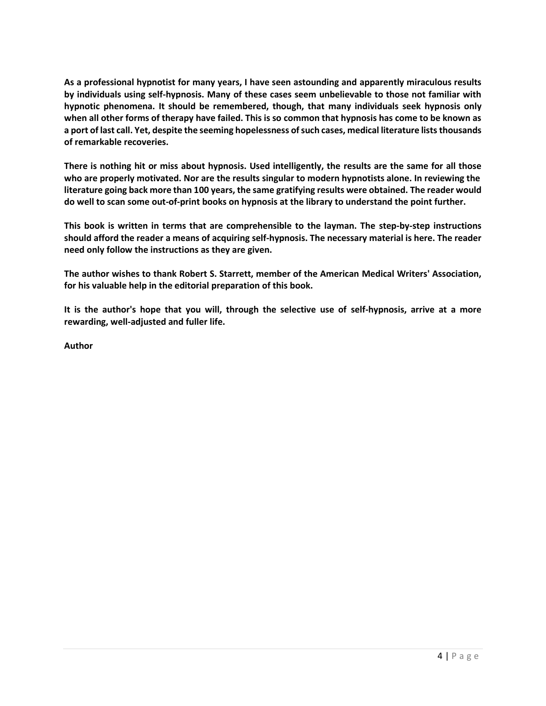**As a professional hypnotist for many years, I have seen astounding and apparently miraculous results by individuals using self-hypnosis. Many of these cases seem unbelievable to those not familiar with hypnotic phenomena. It should be remembered, though, that many individuals seek hypnosis only when all other forms of therapy have failed. This is so common that hypnosis has come to be known as a port of last call. Yet, despite the seeming hopelessness of such cases, medical literature lists thousands of remarkable recoveries.**

**There is nothing hit or miss about hypnosis. Used intelligently, the results are the same for all those who are properly motivated. Nor are the results singular to modern hypnotists alone. In reviewing the literature going back more than 100 years, the same gratifying results were obtained. The reader would do well to scan some out-of-print books on hypnosis at the library to understand the point further.**

**This book is written in terms that are comprehensible to the layman. The step-by-step instructions should afford the reader a means of acquiring self-hypnosis. The necessary material is here. The reader need only follow the instructions as they are given.**

**The author wishes to thank Robert S. Starrett, member of the American Medical Writers' Association, for his valuable help in the editorial preparation of this book.**

**It is the author's hope that you will, through the selective use of self-hypnosis, arrive at a more rewarding, well-adjusted and fuller life.**

**Author**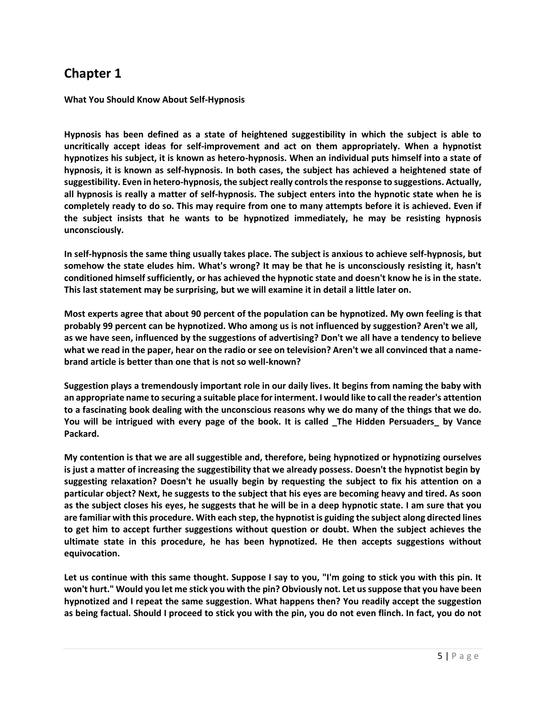**What You Should Know About Self-Hypnosis**

**Hypnosis has been defined as a state of heightened suggestibility in which the subject is able to uncritically accept ideas for self-improvement and act on them appropriately. When a hypnotist hypnotizes his subject, it is known as hetero-hypnosis. When an individual puts himself into a state of hypnosis, it is known as self-hypnosis. In both cases, the subject has achieved a heightened state of suggestibility. Even in hetero-hypnosis, the subject really controls the response to suggestions. Actually, all hypnosis is really a matter of self-hypnosis. The subject enters into the hypnotic state when he is completely ready to do so. This may require from one to many attempts before it is achieved. Even if the subject insists that he wants to be hypnotized immediately, he may be resisting hypnosis unconsciously.**

**In self-hypnosis the same thing usually takes place. The subject is anxious to achieve self-hypnosis, but somehow the state eludes him. What's wrong? It may be that he is unconsciously resisting it, hasn't conditioned himself sufficiently, or has achieved the hypnotic state and doesn't know he is in the state. This last statement may be surprising, but we will examine it in detail a little later on.**

**Most experts agree that about 90 percent of the population can be hypnotized. My own feeling is that probably 99 percent can be hypnotized. Who among us is not influenced by suggestion? Aren't we all, as we have seen, influenced by the suggestions of advertising? Don't we all have a tendency to believe what we read in the paper, hear on the radio or see on television? Aren't we all convinced that a namebrand article is better than one that is not so well-known?**

**Suggestion plays a tremendously important role in our daily lives. It begins from naming the baby with an appropriate name to securing a suitable place for interment. I would like to call the reader's attention to a fascinating book dealing with the unconscious reasons why we do many of the things that we do. You will be intrigued with every page of the book. It is called \_The Hidden Persuaders\_ by Vance Packard.**

**My contention is that we are all suggestible and, therefore, being hypnotized or hypnotizing ourselves is just a matter of increasing the suggestibility that we already possess. Doesn't the hypnotist begin by suggesting relaxation? Doesn't he usually begin by requesting the subject to fix his attention on a particular object? Next, he suggests to the subject that his eyes are becoming heavy and tired. As soon as the subject closes his eyes, he suggests that he will be in a deep hypnotic state. I am sure that you are familiar with this procedure. With each step, the hypnotist is guiding the subject along directed lines to get him to accept further suggestions without question or doubt. When the subject achieves the ultimate state in this procedure, he has been hypnotized. He then accepts suggestions without equivocation.**

**Let us continue with this same thought. Suppose I say to you, "I'm going to stick you with this pin. It won't hurt." Would you let me stick you with the pin? Obviously not. Let us suppose that you have been hypnotized and I repeat the same suggestion. What happens then? You readily accept the suggestion as being factual. Should I proceed to stick you with the pin, you do not even flinch. In fact, you do not**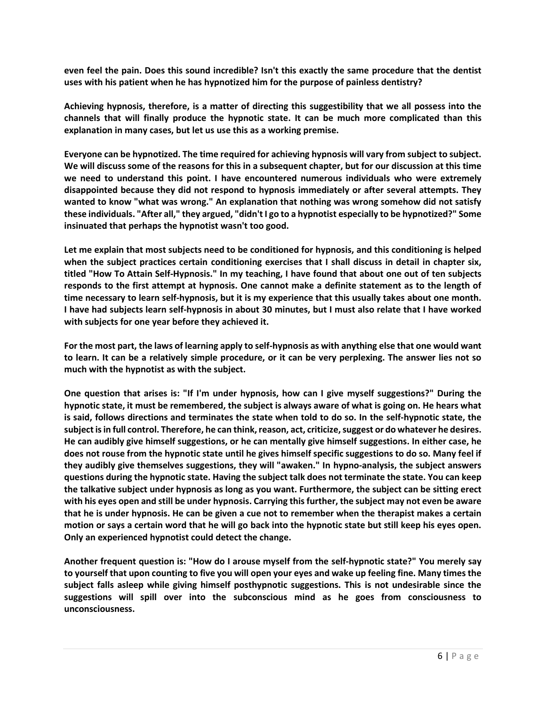**even feel the pain. Does this sound incredible? Isn't this exactly the same procedure that the dentist uses with his patient when he has hypnotized him for the purpose of painless dentistry?**

**Achieving hypnosis, therefore, is a matter of directing this suggestibility that we all possess into the channels that will finally produce the hypnotic state. It can be much more complicated than this explanation in many cases, but let us use this as a working premise.**

**Everyone can be hypnotized. The time required for achieving hypnosis will vary from subject to subject. We will discuss some of the reasons for this in a subsequent chapter, but for our discussion at this time we need to understand this point. I have encountered numerous individuals who were extremely disappointed because they did not respond to hypnosis immediately or after several attempts. They wanted to know "what was wrong." An explanation that nothing was wrong somehow did not satisfy these individuals. "After all," they argued, "didn't I go to a hypnotist especially to be hypnotized?" Some insinuated that perhaps the hypnotist wasn't too good.**

**Let me explain that most subjects need to be conditioned for hypnosis, and this conditioning is helped when the subject practices certain conditioning exercises that I shall discuss in detail in chapter six, titled "How To Attain Self-Hypnosis." In my teaching, I have found that about one out of ten subjects responds to the first attempt at hypnosis. One cannot make a definite statement as to the length of time necessary to learn self-hypnosis, but it is my experience that this usually takes about one month. I have had subjects learn self-hypnosis in about 30 minutes, but I must also relate that I have worked with subjects for one year before they achieved it.**

**For the most part, the laws of learning apply to self-hypnosis as with anything else that one would want to learn. It can be a relatively simple procedure, or it can be very perplexing. The answer lies not so much with the hypnotist as with the subject.**

**One question that arises is: "If I'm under hypnosis, how can I give myself suggestions?" During the hypnotic state, it must be remembered, the subject is always aware of what is going on. He hears what is said, follows directions and terminates the state when told to do so. In the self-hypnotic state, the subject is in full control. Therefore, he can think, reason, act, criticize, suggest or do whatever he desires. He can audibly give himself suggestions, or he can mentally give himself suggestions. In either case, he does not rouse from the hypnotic state until he gives himself specific suggestions to do so. Many feel if they audibly give themselves suggestions, they will "awaken." In hypno-analysis, the subject answers questions during the hypnotic state. Having the subject talk does not terminate the state. You can keep the talkative subject under hypnosis as long as you want. Furthermore, the subject can be sitting erect with his eyes open and still be under hypnosis. Carrying this further, the subject may not even be aware that he is under hypnosis. He can be given a cue not to remember when the therapist makes a certain motion or says a certain word that he will go back into the hypnotic state but still keep his eyes open. Only an experienced hypnotist could detect the change.**

**Another frequent question is: "How do I arouse myself from the self-hypnotic state?" You merely say to yourself that upon counting to five you will open your eyes and wake up feeling fine. Many times the subject falls asleep while giving himself posthypnotic suggestions. This is not undesirable since the suggestions will spill over into the subconscious mind as he goes from consciousness to unconsciousness.**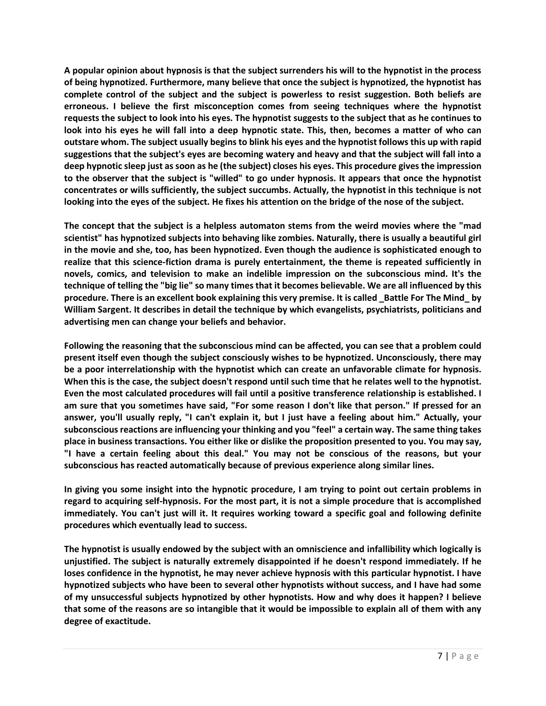**A popular opinion about hypnosis is that the subject surrenders his will to the hypnotist in the process of being hypnotized. Furthermore, many believe that once the subject is hypnotized, the hypnotist has complete control of the subject and the subject is powerless to resist suggestion. Both beliefs are erroneous. I believe the first misconception comes from seeing techniques where the hypnotist requests the subject to look into his eyes. The hypnotist suggests to the subject that as he continues to look into his eyes he will fall into a deep hypnotic state. This, then, becomes a matter of who can outstare whom. The subject usually begins to blink his eyes and the hypnotist follows this up with rapid suggestions that the subject's eyes are becoming watery and heavy and that the subject will fall into a deep hypnotic sleep just as soon as he (the subject) closes his eyes. This procedure gives the impression to the observer that the subject is "willed" to go under hypnosis. It appears that once the hypnotist concentrates or wills sufficiently, the subject succumbs. Actually, the hypnotist in this technique is not looking into the eyes of the subject. He fixes his attention on the bridge of the nose of the subject.**

**The concept that the subject is a helpless automaton stems from the weird movies where the "mad scientist" has hypnotized subjects into behaving like zombies. Naturally, there is usually a beautiful girl in the movie and she, too, has been hypnotized. Even though the audience is sophisticated enough to realize that this science-fiction drama is purely entertainment, the theme is repeated sufficiently in novels, comics, and television to make an indelible impression on the subconscious mind. It's the technique of telling the "big lie" so many times that it becomes believable. We are all influenced by this procedure. There is an excellent book explaining this very premise. It is called \_Battle For The Mind\_ by William Sargent. It describes in detail the technique by which evangelists, psychiatrists, politicians and advertising men can change your beliefs and behavior.**

**Following the reasoning that the subconscious mind can be affected, you can see that a problem could present itself even though the subject consciously wishes to be hypnotized. Unconsciously, there may be a poor interrelationship with the hypnotist which can create an unfavorable climate for hypnosis. When this is the case, the subject doesn't respond until such time that he relates well to the hypnotist. Even the most calculated procedures will fail until a positive transference relationship is established. I am sure that you sometimes have said, "For some reason I don't like that person." If pressed for an answer, you'll usually reply, "I can't explain it, but I just have a feeling about him." Actually, your subconscious reactions are influencing your thinking and you "feel" a certain way. The same thing takes place in business transactions. You either like or dislike the proposition presented to you. You may say, "I have a certain feeling about this deal." You may not be conscious of the reasons, but your subconscious has reacted automatically because of previous experience along similar lines.**

**In giving you some insight into the hypnotic procedure, I am trying to point out certain problems in regard to acquiring self-hypnosis. For the most part, it is not a simple procedure that is accomplished immediately. You can't just will it. It requires working toward a specific goal and following definite procedures which eventually lead to success.**

**The hypnotist is usually endowed by the subject with an omniscience and infallibility which logically is unjustified. The subject is naturally extremely disappointed if he doesn't respond immediately. If he loses confidence in the hypnotist, he may never achieve hypnosis with this particular hypnotist. I have hypnotized subjects who have been to several other hypnotists without success, and I have had some of my unsuccessful subjects hypnotized by other hypnotists. How and why does it happen? I believe that some of the reasons are so intangible that it would be impossible to explain all of them with any degree of exactitude.**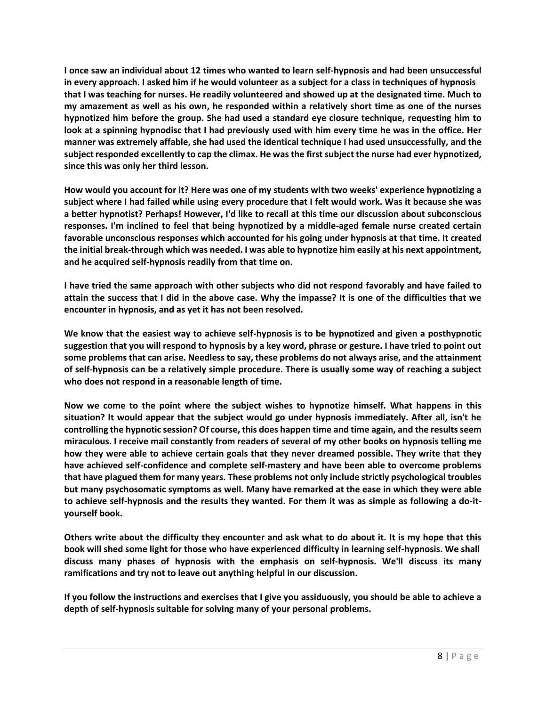**I once saw an individual about 12 times who wanted to learn self-hypnosis and had been unsuccessful in every approach. I asked him if he would volunteer as a subject for a class in techniques of hypnosis that I was teaching for nurses. He readily volunteered and showed up at the designated time. Much to my amazement as well as his own, he responded within a relatively short time as one of the nurses hypnotized him before the group. She had used a standard eye closure technique, requesting him to look at a spinning hypnodisc that I had previously used with him every time he was in the office. Her manner was extremely affable, she had used the identical technique I had used unsuccessfully, and the subject responded excellently to cap the climax. He was the first subject the nurse had ever hypnotized, since this was only her third lesson.**

**How would you account for it? Here was one of my students with two weeks' experience hypnotizing a subject where I had failed while using every procedure that I felt would work. Was it because she was a better hypnotist? Perhaps! However, I'd like to recall at this time our discussion about subconscious responses. I'm inclined to feel that being hypnotized by a middle-aged female nurse created certain favorable unconscious responses which accounted for his going under hypnosis at that time. It created the initial break-through which was needed. I was able to hypnotize him easily at his next appointment, and he acquired self-hypnosis readily from that time on.**

**I have tried the same approach with other subjects who did not respond favorably and have failed to attain the success that I did in the above case. Why the impasse? It is one of the difficulties that we encounter in hypnosis, and as yet it has not been resolved.**

**We know that the easiest way to achieve self-hypnosis is to be hypnotized and given a posthypnotic suggestion that you will respond to hypnosis by a key word, phrase or gesture. I have tried to point out some problems that can arise. Needless to say, these problems do not always arise, and the attainment of self-hypnosis can be a relatively simple procedure. There is usually some way of reaching a subject who does not respond in a reasonable length of time.**

**Now we come to the point where the subject wishes to hypnotize himself. What happens in this situation? It would appear that the subject would go under hypnosis immediately. After all, isn't he controlling the hypnotic session? Of course, this does happen time and time again, and the results seem miraculous. I receive mail constantly from readers of several of my other books on hypnosis telling me how they were able to achieve certain goals that they never dreamed possible. They write that they have achieved self-confidence and complete self-mastery and have been able to overcome problems that have plagued them for many years. These problems not only include strictly psychological troubles but many psychosomatic symptoms as well. Many have remarked at the ease in which they were able to achieve self-hypnosis and the results they wanted. For them it was as simple as following a do-ityourself book.**

**Others write about the difficulty they encounter and ask what to do about it. It is my hope that this book will shed some light for those who have experienced difficulty in learning self-hypnosis. We shall discuss many phases of hypnosis with the emphasis on self-hypnosis. We'll discuss its many ramifications and try not to leave out anything helpful in our discussion.**

**If you follow the instructions and exercises that I give you assiduously, you should be able to achieve a depth of self-hypnosis suitable for solving many of your personal problems.**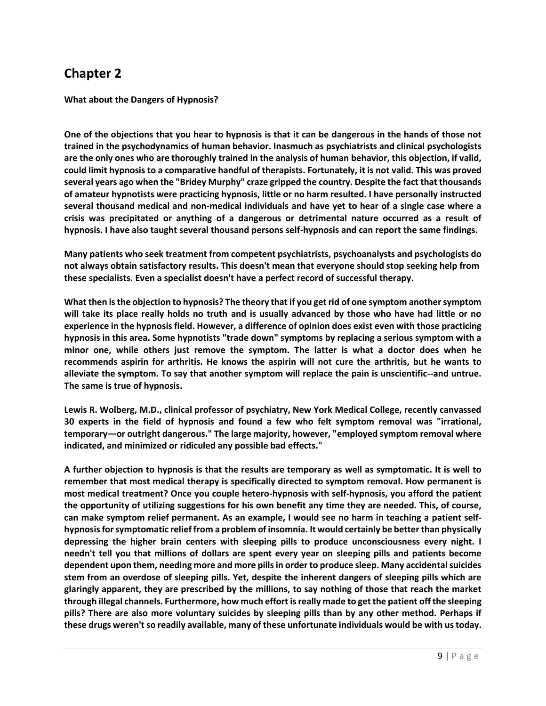**What about the Dangers of Hypnosis?**

**One of the objections that you hear to hypnosis is that it can be dangerous in the hands of those not trained in the psychodynamics of human behavior. Inasmuch as psychiatrists and clinical psychologists are the only ones who are thoroughly trained in the analysis of human behavior, this objection, if valid, could limit hypnosis to a comparative handful of therapists. Fortunately, it is not valid. This was proved several years ago when the "Bridey Murphy" craze gripped the country. Despite the fact that thousands of amateur hypnotists were practicing hypnosis, little or no harm resulted. I have personally instructed several thousand medical and non-medical individuals and have yet to hear of a single case where a crisis was precipitated or anything of a dangerous or detrimental nature occurred as a result of hypnosis. I have also taught several thousand persons self-hypnosis and can report the same findings.**

**Many patients who seek treatment from competent psychiatrists, psychoanalysts and psychologists do not always obtain satisfactory results. This doesn't mean that everyone should stop seeking help from these specialists. Even a specialist doesn't have a perfect record of successful therapy.**

**What then is the objection to hypnosis? The theory that if you get rid of one symptom another symptom will take its place really holds no truth and is usually advanced by those who have had little or no experience in the hypnosis field. However, a difference of opinion does exist even with those practicing hypnosis in this area. Some hypnotists "trade down" symptoms by replacing a serious symptom with a minor one, while others just remove the symptom. The latter is what a doctor does when he recommends aspirin for arthritis. He knows the aspirin will not cure the arthritis, but he wants to alleviate the symptom. To say that another symptom will replace the pain is unscientific--and untrue. The same is true of hypnosis.**

**Lewis R. Wolberg, M.D., clinical professor of psychiatry, New York Medical College, recently canvassed 30 experts in the field of hypnosis and found a few who felt symptom removal was "irrational, temporary—or outright dangerous." The large majority, however, "employed symptom removal where indicated, and minimized or ridiculed any possible bad effects."**

**A further objection to hypnosis is that the results are temporary as well as symptomatic. It is well to remember that most medical therapy is specifically directed to symptom removal. How permanent is most medical treatment? Once you couple hetero-hypnosis with self-hypnosis, you afford the patient the opportunity of utilizing suggestions for his own benefit any time they are needed. This, of course, can make symptom relief permanent. As an example, I would see no harm in teaching a patient selfhypnosis for symptomatic relief from a problem of insomnia. It would certainly be better than physically depressing the higher brain centers with sleeping pills to produce unconsciousness every night. I needn't tell you that millions of dollars are spent every year on sleeping pills and patients become dependent upon them, needing more and more pills in order to produce sleep. Many accidental suicides stem from an overdose of sleeping pills. Yet, despite the inherent dangers of sleeping pills which are glaringly apparent, they are prescribed by the millions, to say nothing of those that reach the market through illegal channels. Furthermore, how much effort is really made to get the patient off the sleeping pills? There are also more voluntary suicides by sleeping pills than by any other method. Perhaps if these drugs weren'tso readily available, many of these unfortunate individuals would be with us today.**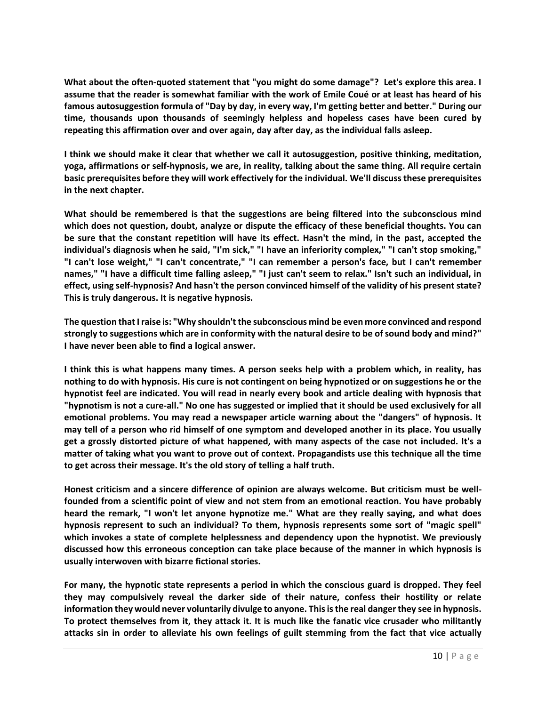**What about the often-quoted statement that "you might do some damage"? Let's explore this area. I assume that the reader is somewhat familiar with the work of Emile Coué or at least has heard of his famous autosuggestion formula of "Day by day, in every way, I'm getting better and better." During our time, thousands upon thousands of seemingly helpless and hopeless cases have been cured by repeating this affirmation over and over again, day after day, as the individual falls asleep.**

**I think we should make it clear that whether we call it autosuggestion, positive thinking, meditation, yoga, affirmations or self-hypnosis, we are, in reality, talking about the same thing. All require certain basic prerequisites before they will work effectively for the individual. We'll discuss these prerequisites in the next chapter.**

**What should be remembered is that the suggestions are being filtered into the subconscious mind which does not question, doubt, analyze or dispute the efficacy of these beneficial thoughts. You can be sure that the constant repetition will have its effect. Hasn't the mind, in the past, accepted the individual's diagnosis when he said, "I'm sick," "I have an inferiority complex," "I can't stop smoking," "I can't lose weight," "I can't concentrate," "I can remember a person's face, but I can't remember names," "I have a difficult time falling asleep," "I just can't seem to relax." Isn't such an individual, in effect, using self-hypnosis? And hasn't the person convinced himself of the validity of his present state? This is truly dangerous. It is negative hypnosis.**

**The question that I raise is: "Why shouldn't the subconscious mind be even more convinced and respond strongly to suggestions which are in conformity with the natural desire to be of sound body and mind?" I have never been able to find a logical answer.**

**I think this is what happens many times. A person seeks help with a problem which, in reality, has nothing to do with hypnosis. His cure is not contingent on being hypnotized or on suggestions he or the hypnotist feel are indicated. You will read in nearly every book and article dealing with hypnosis that "hypnotism is not a cure-all." No one has suggested or implied that it should be used exclusively for all emotional problems. You may read a newspaper article warning about the "dangers" of hypnosis. It may tell of a person who rid himself of one symptom and developed another in its place. You usually get a grossly distorted picture of what happened, with many aspects of the case not included. It's a matter of taking what you want to prove out of context. Propagandists use this technique all the time to get across their message. It's the old story of telling a half truth.**

**Honest criticism and a sincere difference of opinion are always welcome. But criticism must be wellfounded from a scientific point of view and not stem from an emotional reaction. You have probably heard the remark, "I won't let anyone hypnotize me." What are they really saying, and what does hypnosis represent to such an individual? To them, hypnosis represents some sort of "magic spell" which invokes a state of complete helplessness and dependency upon the hypnotist. We previously discussed how this erroneous conception can take place because of the manner in which hypnosis is usually interwoven with bizarre fictional stories.**

**For many, the hypnotic state represents a period in which the conscious guard is dropped. They feel they may compulsively reveal the darker side of their nature, confess their hostility or relate information they would never voluntarily divulge to anyone. This is the real danger they see in hypnosis. To protect themselves from it, they attack it. It is much like the fanatic vice crusader who militantly attacks sin in order to alleviate his own feelings of guilt stemming from the fact that vice actually**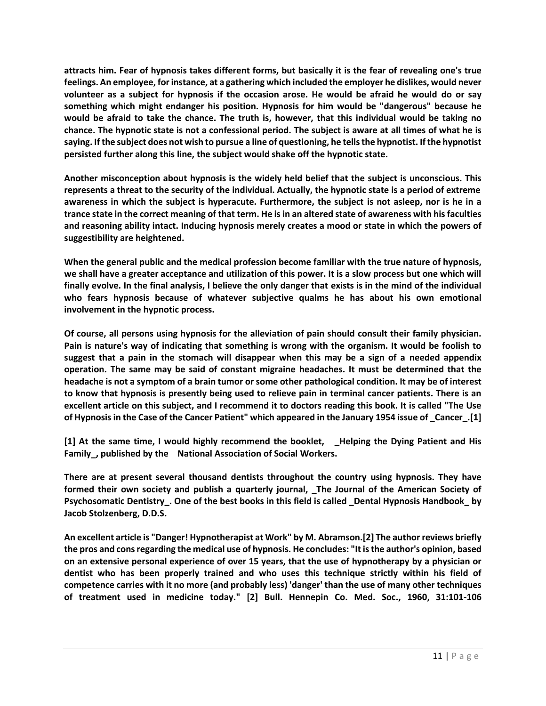**attracts him. Fear of hypnosis takes different forms, but basically it is the fear of revealing one's true feelings. An employee, for instance, at a gathering which included the employer he dislikes, would never volunteer as a subject for hypnosis if the occasion arose. He would be afraid he would do or say something which might endanger his position. Hypnosis for him would be "dangerous" because he would be afraid to take the chance. The truth is, however, that this individual would be taking no chance. The hypnotic state is not a confessional period. The subject is aware at all times of what he is saying. If the subject does not wish to pursue a line of questioning, he tells the hypnotist. If the hypnotist persisted further along this line, the subject would shake off the hypnotic state.**

**Another misconception about hypnosis is the widely held belief that the subject is unconscious. This represents a threat to the security of the individual. Actually, the hypnotic state is a period of extreme awareness in which the subject is hyperacute. Furthermore, the subject is not asleep, nor is he in a trance state in the correct meaning of that term. He is in an altered state of awareness with his faculties and reasoning ability intact. Inducing hypnosis merely creates a mood or state in which the powers of suggestibility are heightened.**

**When the general public and the medical profession become familiar with the true nature of hypnosis, we shall have a greater acceptance and utilization of this power. It is a slow process but one which will finally evolve. In the final analysis, I believe the only danger that exists is in the mind of the individual who fears hypnosis because of whatever subjective qualms he has about his own emotional involvement in the hypnotic process.**

**Of course, all persons using hypnosis for the alleviation of pain should consult their family physician. Pain is nature's way of indicating that something is wrong with the organism. It would be foolish to suggest that a pain in the stomach will disappear when this may be a sign of a needed appendix operation. The same may be said of constant migraine headaches. It must be determined that the headache is not a symptom of a brain tumor or some other pathological condition. It may be of interest to know that hypnosis is presently being used to relieve pain in terminal cancer patients. There is an excellent article on this subject, and I recommend it to doctors reading this book. It is called "The Use of Hypnosis in the Case of the Cancer Patient" which appeared in the January 1954 issue of \_Cancer\_.[1]**

**[1] At the same time, I would highly recommend the booklet, \_Helping the Dying Patient and His Family\_, published by the National Association of Social Workers.**

**There are at present several thousand dentists throughout the country using hypnosis. They have formed their own society and publish a quarterly journal, \_The Journal of the American Society of Psychosomatic Dentistry\_. One of the best books in this field is called \_Dental Hypnosis Handbook\_ by Jacob Stolzenberg, D.D.S.**

**An excellent article is "Danger! Hypnotherapist at Work" by M. Abramson.[2] The author reviews briefly the pros and cons regarding the medical use of hypnosis. He concludes: "It is the author's opinion, based on an extensive personal experience of over 15 years, that the use of hypnotherapy by a physician or dentist who has been properly trained and who uses this technique strictly within his field of competence carries with it no more (and probably less) 'danger' than the use of many other techniques of treatment used in medicine today." [2] Bull. Hennepin Co. Med. Soc., 1960, 31:101-106**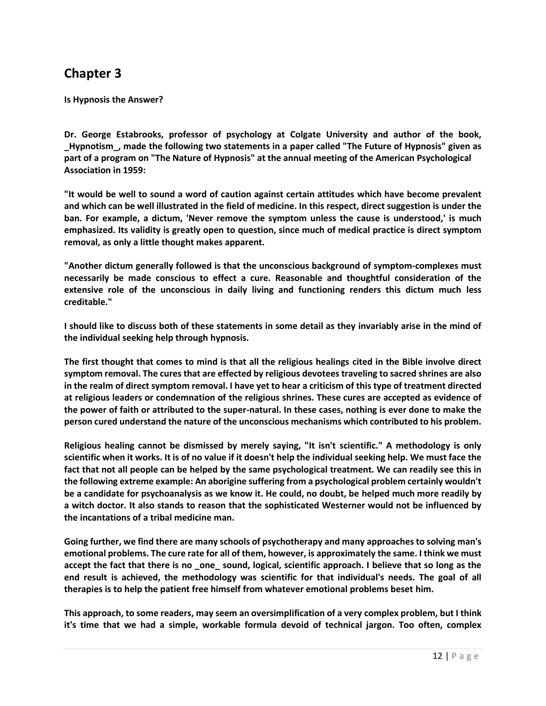**Is Hypnosis the Answer?**

**Dr. George Estabrooks, professor of psychology at Colgate University and author of the book, \_Hypnotism\_, made the following two statements in a paper called "The Future of Hypnosis" given as part of a program on "The Nature of Hypnosis" at the annual meeting of the American Psychological Association in 1959:**

**"It would be well to sound a word of caution against certain attitudes which have become prevalent and which can be well illustrated in the field of medicine. In this respect, direct suggestion is under the ban. For example, a dictum, 'Never remove the symptom unless the cause is understood,' is much emphasized. Its validity is greatly open to question, since much of medical practice is direct symptom removal, as only a little thought makes apparent.**

**"Another dictum generally followed is that the unconscious background of symptom-complexes must necessarily be made conscious to effect a cure. Reasonable and thoughtful consideration of the extensive role of the unconscious in daily living and functioning renders this dictum much less creditable."**

**I should like to discuss both of these statements in some detail as they invariably arise in the mind of the individual seeking help through hypnosis.**

**The first thought that comes to mind is that all the religious healings cited in the Bible involve direct symptom removal. The cures that are effected by religious devotees traveling to sacred shrines are also in the realm of direct symptom removal. I have yet to hear a criticism of this type of treatment directed at religious leaders or condemnation of the religious shrines. These cures are accepted as evidence of the power of faith or attributed to the super-natural. In these cases, nothing is ever done to make the person cured understand the nature of the unconscious mechanisms which contributed to his problem.**

**Religious healing cannot be dismissed by merely saying, "It isn't scientific." A methodology is only scientific when it works. It is of no value if it doesn't help the individual seeking help. We must face the fact that not all people can be helped by the same psychological treatment. We can readily see this in the following extreme example: An aborigine suffering from a psychological problem certainly wouldn't be a candidate for psychoanalysis as we know it. He could, no doubt, be helped much more readily by a witch doctor. It also stands to reason that the sophisticated Westerner would not be influenced by the incantations of a tribal medicine man.**

**Going further, we find there are many schools of psychotherapy and many approaches to solving man's emotional problems. The cure rate for all of them, however, is approximately the same. I think we must accept the fact that there is no \_one\_ sound, logical, scientific approach. I believe that so long as the end result is achieved, the methodology was scientific for that individual's needs. The goal of all therapies is to help the patient free himself from whatever emotional problems beset him.**

**This approach, to some readers, may seem an oversimplification of a very complex problem, but I think it's time that we had a simple, workable formula devoid of technical jargon. Too often, complex**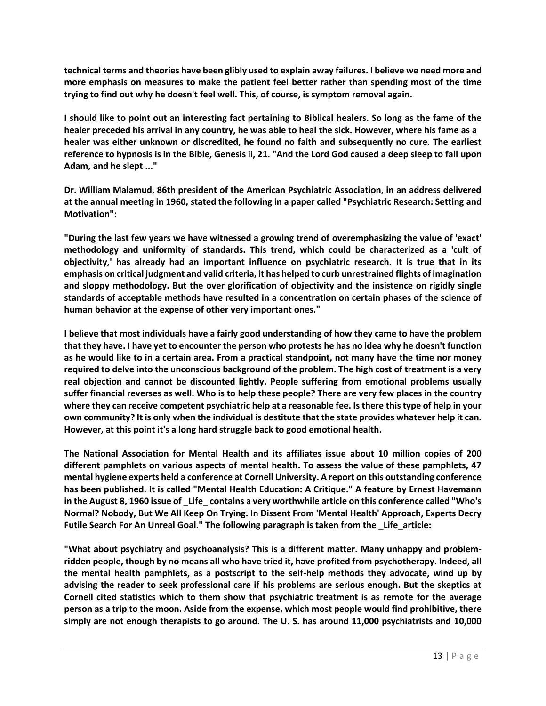**technical terms and theories have been glibly used to explain away failures. I believe we need more and more emphasis on measures to make the patient feel better rather than spending most of the time trying to find out why he doesn't feel well. This, of course, is symptom removal again.**

**I should like to point out an interesting fact pertaining to Biblical healers. So long as the fame of the healer preceded his arrival in any country, he was able to heal the sick. However, where his fame as a healer was either unknown or discredited, he found no faith and subsequently no cure. The earliest reference to hypnosis is in the Bible, Genesis ii, 21. "And the Lord God caused a deep sleep to fall upon Adam, and he slept ..."**

**Dr. William Malamud, 86th president of the American Psychiatric Association, in an address delivered at the annual meeting in 1960, stated the following in a paper called "Psychiatric Research: Setting and Motivation":**

**"During the last few years we have witnessed a growing trend of overemphasizing the value of 'exact' methodology and uniformity of standards. This trend, which could be characterized as a 'cult of objectivity,' has already had an important influence on psychiatric research. It is true that in its emphasis on critical judgment and valid criteria, it has helped to curb unrestrained flights of imagination and sloppy methodology. But the over glorification of objectivity and the insistence on rigidly single standards of acceptable methods have resulted in a concentration on certain phases of the science of human behavior at the expense of other very important ones."**

**I believe that most individuals have a fairly good understanding of how they came to have the problem that they have. I have yet to encounter the person who protests he has no idea why he doesn't function as he would like to in a certain area. From a practical standpoint, not many have the time nor money required to delve into the unconscious background of the problem. The high cost of treatment is a very real objection and cannot be discounted lightly. People suffering from emotional problems usually suffer financial reverses as well. Who is to help these people? There are very few places in the country where they can receive competent psychiatric help at a reasonable fee. Is there this type of help in your own community? It is only when the individual is destitute that the state provides whatever help it can. However, at this point it's a long hard struggle back to good emotional health.**

**The National Association for Mental Health and its affiliates issue about 10 million copies of 200 different pamphlets on various aspects of mental health. To assess the value of these pamphlets, 47 mental hygiene experts held a conference at Cornell University. A report on this outstanding conference has been published. It is called "Mental Health Education: A Critique." A feature by Ernest Havemann in the August 8, 1960 issue of \_Life\_ contains a very worthwhile article on this conference called "Who's Normal? Nobody, But We All Keep On Trying. In Dissent From 'Mental Health' Approach, Experts Decry Futile Search For An Unreal Goal." The following paragraph is taken from the \_Life\_article:**

**"What about psychiatry and psychoanalysis? This is a different matter. Many unhappy and problemridden people, though by no means all who have tried it, have profited from psychotherapy. Indeed, all the mental health pamphlets, as a postscript to the self-help methods they advocate, wind up by advising the reader to seek professional care if his problems are serious enough. But the skeptics at Cornell cited statistics which to them show that psychiatric treatment is as remote for the average person as a trip to the moon. Aside from the expense, which most people would find prohibitive, there simply are not enough therapists to go around. The U. S. has around 11,000 psychiatrists and 10,000**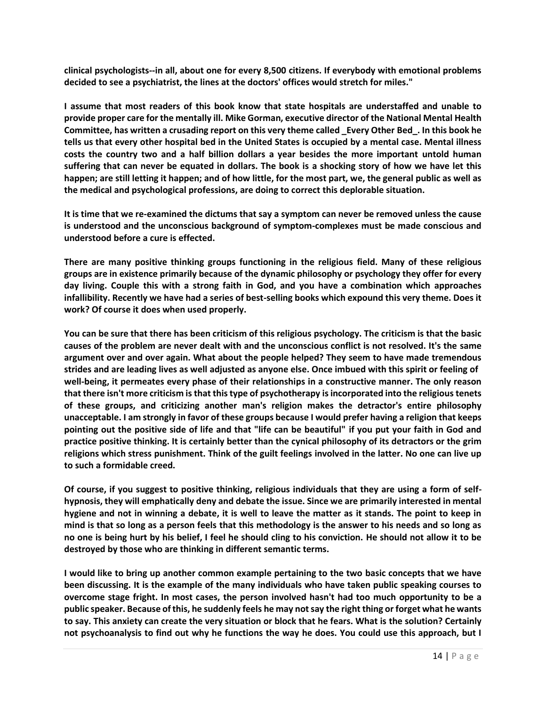**clinical psychologists--in all, about one for every 8,500 citizens. If everybody with emotional problems decided to see a psychiatrist, the lines at the doctors' offices would stretch for miles."**

**I assume that most readers of this book know that state hospitals are understaffed and unable to provide proper care for the mentally ill. Mike Gorman, executive director of the National Mental Health Committee, has written a crusading report on this very theme called \_Every Other Bed\_. In this book he tells us that every other hospital bed in the United States is occupied by a mental case. Mental illness costs the country two and a half billion dollars a year besides the more important untold human suffering that can never be equated in dollars. The book is a shocking story of how we have let this happen; are still letting it happen; and of how little, for the most part, we, the general public as well as the medical and psychological professions, are doing to correct this deplorable situation.**

**It is time that we re-examined the dictums that say a symptom can never be removed unless the cause is understood and the unconscious background of symptom-complexes must be made conscious and understood before a cure is effected.**

**There are many positive thinking groups functioning in the religious field. Many of these religious groups are in existence primarily because of the dynamic philosophy or psychology they offer for every day living. Couple this with a strong faith in God, and you have a combination which approaches infallibility. Recently we have had a series of best-selling books which expound this very theme. Does it work? Of course it does when used properly.**

**You can be sure that there has been criticism of this religious psychology. The criticism is that the basic causes of the problem are never dealt with and the unconscious conflict is not resolved. It's the same argument over and over again. What about the people helped? They seem to have made tremendous strides and are leading lives as well adjusted as anyone else. Once imbued with this spirit or feeling of well-being, it permeates every phase of their relationships in a constructive manner. The only reason that there isn't more criticism isthat this type of psychotherapy is incorporated into the religious tenets of these groups, and criticizing another man's religion makes the detractor's entire philosophy unacceptable. I am strongly in favor of these groups because I would prefer having a religion that keeps pointing out the positive side of life and that "life can be beautiful" if you put your faith in God and practice positive thinking. It is certainly better than the cynical philosophy of its detractors or the grim religions which stress punishment. Think of the guilt feelings involved in the latter. No one can live up to such a formidable creed.**

**Of course, if you suggest to positive thinking, religious individuals that they are using a form of selfhypnosis, they will emphatically deny and debate the issue. Since we are primarily interested in mental hygiene and not in winning a debate, it is well to leave the matter as it stands. The point to keep in mind is that so long as a person feels that this methodology is the answer to his needs and so long as no one is being hurt by his belief, I feel he should cling to his conviction. He should not allow it to be destroyed by those who are thinking in different semantic terms.**

**I would like to bring up another common example pertaining to the two basic concepts that we have been discussing. It is the example of the many individuals who have taken public speaking courses to overcome stage fright. In most cases, the person involved hasn't had too much opportunity to be a public speaker. Because of this, he suddenly feels he may not say the right thing or forget what he wants to say. This anxiety can create the very situation or block that he fears. What is the solution? Certainly not psychoanalysis to find out why he functions the way he does. You could use this approach, but I**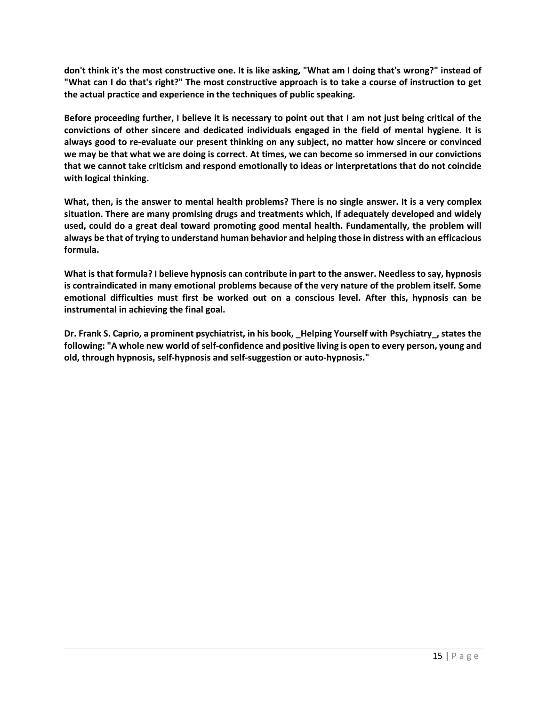**don't think it's the most constructive one. It is like asking, "What am I doing that's wrong?" instead of "What can I do that's right?" The most constructive approach is to take a course of instruction to get the actual practice and experience in the techniques of public speaking.**

**Before proceeding further, I believe it is necessary to point out that I am not just being critical of the convictions of other sincere and dedicated individuals engaged in the field of mental hygiene. It is always good to re-evaluate our present thinking on any subject, no matter how sincere or convinced we may be that what we are doing is correct. At times, we can become so immersed in our convictions that we cannot take criticism and respond emotionally to ideas or interpretations that do not coincide with logical thinking.**

**What, then, is the answer to mental health problems? There is no single answer. It is a very complex situation. There are many promising drugs and treatments which, if adequately developed and widely used, could do a great deal toward promoting good mental health. Fundamentally, the problem will always be that of trying to understand human behavior and helping those in distress with an efficacious formula.**

**What is that formula? I believe hypnosis can contribute in part to the answer. Needless to say, hypnosis is contraindicated in many emotional problems because of the very nature of the problem itself. Some emotional difficulties must first be worked out on a conscious level. After this, hypnosis can be instrumental in achieving the final goal.**

**Dr. Frank S. Caprio, a prominent psychiatrist, in his book, \_Helping Yourself with Psychiatry\_, states the following: "A whole new world of self-confidence and positive living is open to every person, young and old, through hypnosis, self-hypnosis and self-suggestion or auto-hypnosis."**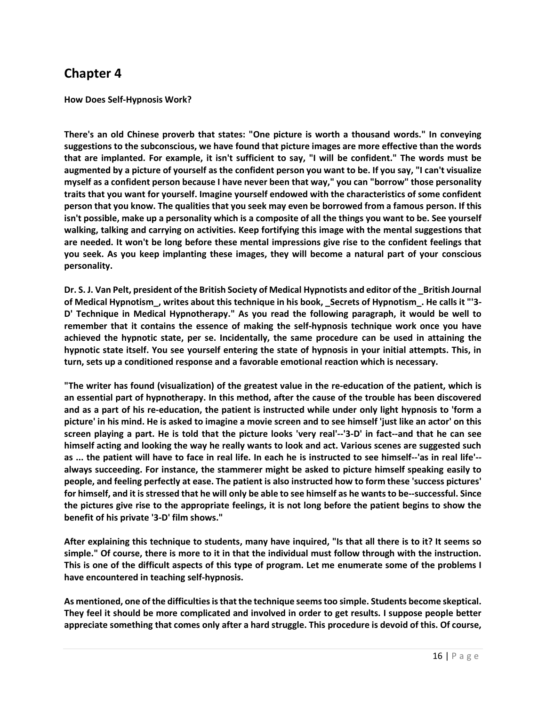**How Does Self-Hypnosis Work?**

**There's an old Chinese proverb that states: "One picture is worth a thousand words." In conveying suggestions to the subconscious, we have found that picture images are more effective than the words that are implanted. For example, it isn't sufficient to say, "I will be confident." The words must be augmented by a picture of yourself as the confident person you want to be. If you say, "I can't visualize myself as a confident person because I have never been that way," you can "borrow" those personality traits that you want for yourself. Imagine yourself endowed with the characteristics of some confident person that you know. The qualities that you seek may even be borrowed from a famous person. If this isn't possible, make up a personality which is a composite of all the things you want to be. See yourself walking, talking and carrying on activities. Keep fortifying this image with the mental suggestions that are needed. It won't be long before these mental impressions give rise to the confident feelings that you seek. As you keep implanting these images, they will become a natural part of your conscious personality.**

**Dr. S. J. Van Pelt, president of the British Society of Medical Hypnotists and editor of the \_British Journal of Medical Hypnotism\_, writes about this technique in his book, \_Secrets of Hypnotism\_. He calls it "'3- D' Technique in Medical Hypnotherapy." As you read the following paragraph, it would be well to remember that it contains the essence of making the self-hypnosis technique work once you have achieved the hypnotic state, per se. Incidentally, the same procedure can be used in attaining the hypnotic state itself. You see yourself entering the state of hypnosis in your initial attempts. This, in turn, sets up a conditioned response and a favorable emotional reaction which is necessary.**

**"The writer has found (visualization) of the greatest value in the re-education of the patient, which is an essential part of hypnotherapy. In this method, after the cause of the trouble has been discovered and as a part of his re-education, the patient is instructed while under only light hypnosis to 'form a picture' in his mind. He is asked to imagine a movie screen and to see himself 'just like an actor' on this screen playing a part. He is told that the picture looks 'very real'--'3-D' in fact--and that he can see himself acting and looking the way he really wants to look and act. Various scenes are suggested such as ... the patient will have to face in real life. In each he is instructed to see himself--'as in real life'- always succeeding. For instance, the stammerer might be asked to picture himself speaking easily to people, and feeling perfectly at ease. The patient is also instructed how to form these 'success pictures' for himself, and it isstressed that he will only be able to see himself as he wants to be--successful. Since the pictures give rise to the appropriate feelings, it is not long before the patient begins to show the benefit of his private '3-D' film shows."**

**After explaining this technique to students, many have inquired, "Is that all there is to it? It seems so simple." Of course, there is more to it in that the individual must follow through with the instruction. This is one of the difficult aspects of this type of program. Let me enumerate some of the problems I have encountered in teaching self-hypnosis.**

**As mentioned, one of the difficulties is that the technique seems too simple. Students become skeptical. They feel it should be more complicated and involved in order to get results. I suppose people better appreciate something that comes only after a hard struggle. This procedure is devoid of this. Of course,**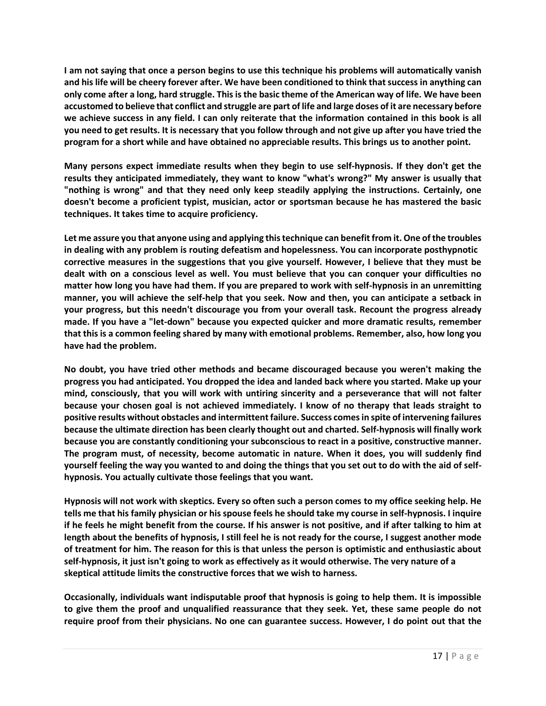**I am not saying that once a person begins to use this technique his problems will automatically vanish and his life will be cheery forever after. We have been conditioned to think that success in anything can only come after a long, hard struggle. This is the basic theme of the American way of life. We have been accustomed to believe that conflict and struggle are part of life and large doses of it are necessary before we achieve success in any field. I can only reiterate that the information contained in this book is all you need to get results. It is necessary that you follow through and not give up after you have tried the program for a short while and have obtained no appreciable results. This brings us to another point.**

**Many persons expect immediate results when they begin to use self-hypnosis. If they don't get the results they anticipated immediately, they want to know "what's wrong?" My answer is usually that "nothing is wrong" and that they need only keep steadily applying the instructions. Certainly, one doesn't become a proficient typist, musician, actor or sportsman because he has mastered the basic techniques. It takes time to acquire proficiency.**

**Let me assure you that anyone using and applying this technique can benefit from it. One of the troubles in dealing with any problem is routing defeatism and hopelessness. You can incorporate posthypnotic corrective measures in the suggestions that you give yourself. However, I believe that they must be dealt with on a conscious level as well. You must believe that you can conquer your difficulties no matter how long you have had them. If you are prepared to work with self-hypnosis in an unremitting manner, you will achieve the self-help that you seek. Now and then, you can anticipate a setback in your progress, but this needn't discourage you from your overall task. Recount the progress already made. If you have a "let-down" because you expected quicker and more dramatic results, remember that this is a common feeling shared by many with emotional problems. Remember, also, how long you have had the problem.**

**No doubt, you have tried other methods and became discouraged because you weren't making the progress you had anticipated. You dropped the idea and landed back where you started. Make up your mind, consciously, that you will work with untiring sincerity and a perseverance that will not falter because your chosen goal is not achieved immediately. I know of no therapy that leads straight to positive results without obstacles and intermittent failure. Success comes in spite of intervening failures because the ultimate direction has been clearly thought out and charted. Self-hypnosis will finally work because you are constantly conditioning your subconscious to react in a positive, constructive manner. The program must, of necessity, become automatic in nature. When it does, you will suddenly find yourself feeling the way you wanted to and doing the things that you set out to do with the aid of selfhypnosis. You actually cultivate those feelings that you want.**

**Hypnosis will not work with skeptics. Every so often such a person comes to my office seeking help. He tells me that his family physician or hisspouse feels he should take my course in self-hypnosis. I inquire if he feels he might benefit from the course. If his answer is not positive, and if after talking to him at length about the benefits of hypnosis, I still feel he is not ready for the course, I suggest another mode of treatment for him. The reason for this is that unless the person is optimistic and enthusiastic about self-hypnosis, it just isn't going to work as effectively as it would otherwise. The very nature of a skeptical attitude limits the constructive forces that we wish to harness.**

**Occasionally, individuals want indisputable proof that hypnosis is going to help them. It is impossible to give them the proof and unqualified reassurance that they seek. Yet, these same people do not require proof from their physicians. No one can guarantee success. However, I do point out that the**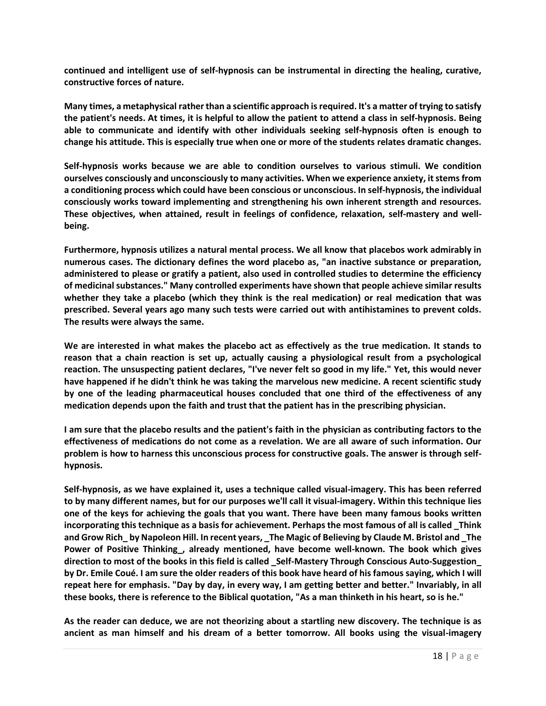**continued and intelligent use of self-hypnosis can be instrumental in directing the healing, curative, constructive forces of nature.**

**Many times, a metaphysical rather than a scientific approach isrequired. It's a matter of trying to satisfy the patient's needs. At times, it is helpful to allow the patient to attend a class in self-hypnosis. Being able to communicate and identify with other individuals seeking self-hypnosis often is enough to change his attitude. This is especially true when one or more of the students relates dramatic changes.**

**Self-hypnosis works because we are able to condition ourselves to various stimuli. We condition ourselves consciously and unconsciously to many activities. When we experience anxiety, it stems from a conditioning process which could have been conscious or unconscious. In self-hypnosis, the individual consciously works toward implementing and strengthening his own inherent strength and resources. These objectives, when attained, result in feelings of confidence, relaxation, self-mastery and wellbeing.**

**Furthermore, hypnosis utilizes a natural mental process. We all know that placebos work admirably in numerous cases. The dictionary defines the word placebo as, "an inactive substance or preparation, administered to please or gratify a patient, also used in controlled studies to determine the efficiency of medicinal substances." Many controlled experiments have shown that people achieve similar results whether they take a placebo (which they think is the real medication) or real medication that was prescribed. Several years ago many such tests were carried out with antihistamines to prevent colds. The results were always the same.**

**We are interested in what makes the placebo act as effectively as the true medication. It stands to reason that a chain reaction is set up, actually causing a physiological result from a psychological reaction. The unsuspecting patient declares, "I've never felt so good in my life." Yet, this would never have happened if he didn't think he was taking the marvelous new medicine. A recent scientific study by one of the leading pharmaceutical houses concluded that one third of the effectiveness of any medication depends upon the faith and trust that the patient has in the prescribing physician.**

**I am sure that the placebo results and the patient's faith in the physician as contributing factors to the effectiveness of medications do not come as a revelation. We are all aware of such information. Our problem is how to harness this unconscious process for constructive goals. The answer is through selfhypnosis.**

**Self-hypnosis, as we have explained it, uses a technique called visual-imagery. This has been referred to by many different names, but for our purposes we'll call it visual-imagery. Within this technique lies one of the keys for achieving the goals that you want. There have been many famous books written incorporating this technique as a basisfor achievement. Perhaps the most famous of all is called \_Think and Grow Rich\_ by Napoleon Hill. In recent years, \_The Magic of Believing by Claude M. Bristol and \_The Power of Positive Thinking\_, already mentioned, have become well-known. The book which gives direction to most of the books in this field is called \_Self-Mastery Through Conscious Auto-Suggestion\_ by Dr. Emile Coué. I am sure the older readers of this book have heard of his famous saying, which I will repeat here for emphasis. "Day by day, in every way, I am getting better and better." Invariably, in all these books, there is reference to the Biblical quotation, "As a man thinketh in his heart, so is he."**

**As the reader can deduce, we are not theorizing about a startling new discovery. The technique is as ancient as man himself and his dream of a better tomorrow. All books using the visual-imagery**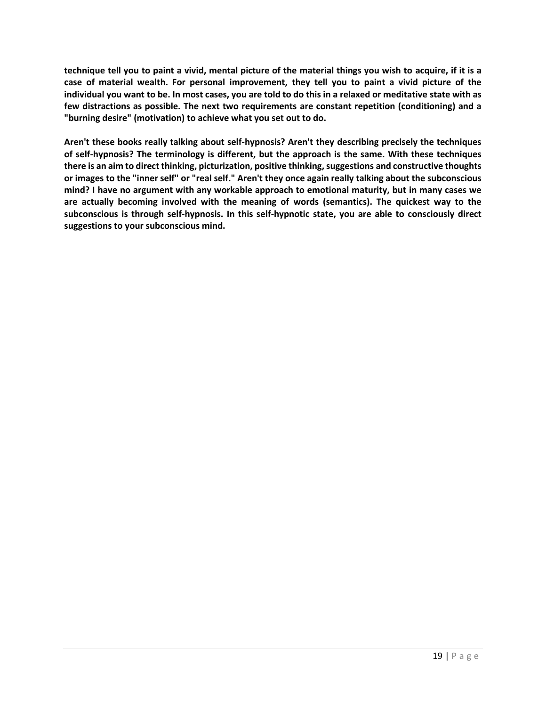**technique tell you to paint a vivid, mental picture of the material things you wish to acquire, if it is a case of material wealth. For personal improvement, they tell you to paint a vivid picture of the individual you want to be. In most cases, you are told to do this in a relaxed or meditative state with as few distractions as possible. The next two requirements are constant repetition (conditioning) and a "burning desire" (motivation) to achieve what you set out to do.**

**Aren't these books really talking about self-hypnosis? Aren't they describing precisely the techniques of self-hypnosis? The terminology is different, but the approach is the same. With these techniques there is an aim to direct thinking, picturization, positive thinking, suggestions and constructive thoughts or images to the "inner self" or "real self." Aren't they once again really talking about the subconscious mind? I have no argument with any workable approach to emotional maturity, but in many cases we are actually becoming involved with the meaning of words (semantics). The quickest way to the subconscious is through self-hypnosis. In this self-hypnotic state, you are able to consciously direct suggestions to your subconscious mind.**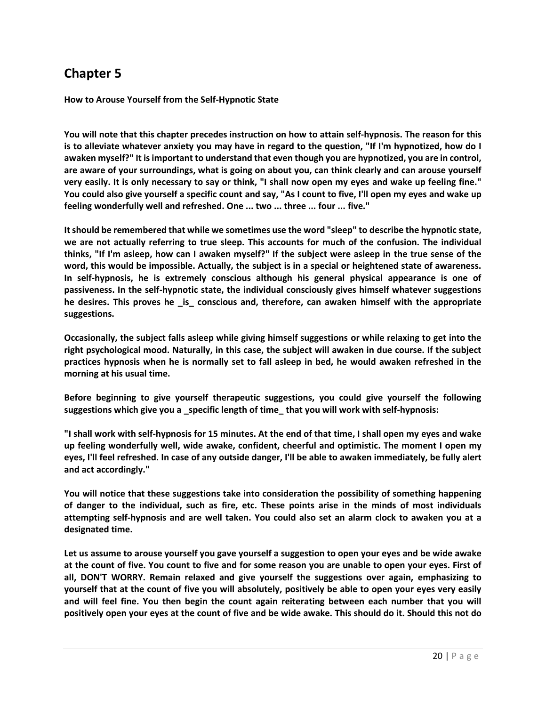**How to Arouse Yourself from the Self-Hypnotic State**

**You will note that this chapter precedes instruction on how to attain self-hypnosis. The reason for this is to alleviate whatever anxiety you may have in regard to the question, "If I'm hypnotized, how do I awaken myself?" It is important to understand that even though you are hypnotized, you are in control, are aware of your surroundings, what is going on about you, can think clearly and can arouse yourself very easily. It is only necessary to say or think, "I shall now open my eyes and wake up feeling fine." You could also give yourself a specific count and say, "As I count to five, I'll open my eyes and wake up feeling wonderfully well and refreshed. One ... two ... three ... four ... five."**

**It should be remembered that while we sometimes use the word "sleep" to describe the hypnotic state, we are not actually referring to true sleep. This accounts for much of the confusion. The individual thinks, "If I'm asleep, how can I awaken myself?" If the subject were asleep in the true sense of the word, this would be impossible. Actually, the subject is in a special or heightened state of awareness. In self-hypnosis, he is extremely conscious although his general physical appearance is one of passiveness. In the self-hypnotic state, the individual consciously gives himself whatever suggestions he desires. This proves he \_is\_ conscious and, therefore, can awaken himself with the appropriate suggestions.**

**Occasionally, the subject falls asleep while giving himself suggestions or while relaxing to get into the right psychological mood. Naturally, in this case, the subject will awaken in due course. If the subject practices hypnosis when he is normally set to fall asleep in bed, he would awaken refreshed in the morning at his usual time.**

**Before beginning to give yourself therapeutic suggestions, you could give yourself the following suggestions which give you a \_specific length of time\_ that you will work with self-hypnosis:**

**"I shall work with self-hypnosis for 15 minutes. At the end of that time, I shall open my eyes and wake up feeling wonderfully well, wide awake, confident, cheerful and optimistic. The moment I open my eyes, I'll feel refreshed. In case of any outside danger, I'll be able to awaken immediately, be fully alert and act accordingly."**

**You will notice that these suggestions take into consideration the possibility of something happening of danger to the individual, such as fire, etc. These points arise in the minds of most individuals attempting self-hypnosis and are well taken. You could also set an alarm clock to awaken you at a designated time.**

**Let us assume to arouse yourself you gave yourself a suggestion to open your eyes and be wide awake at the count of five. You count to five and for some reason you are unable to open your eyes. First of all, DON'T WORRY. Remain relaxed and give yourself the suggestions over again, emphasizing to yourself that at the count of five you will absolutely, positively be able to open your eyes very easily and will feel fine. You then begin the count again reiterating between each number that you will positively open your eyes at the count of five and be wide awake. This should do it. Should this not do**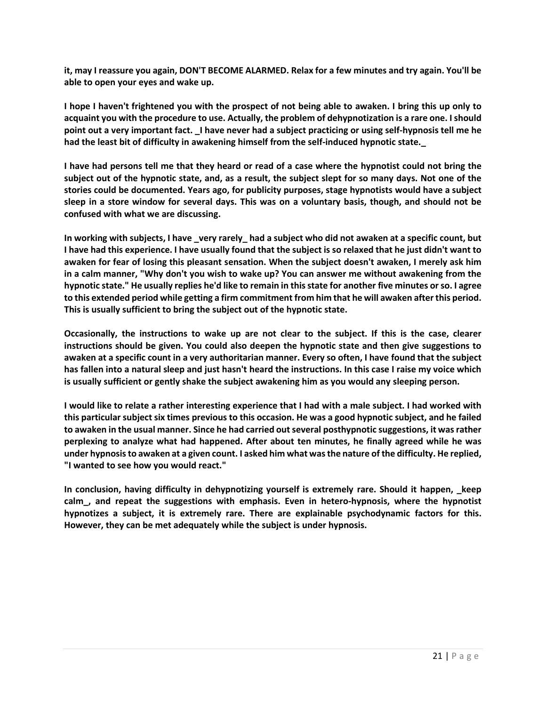**it, may I reassure you again, DON'T BECOME ALARMED. Relax for a few minutes and try again. You'll be able to open your eyes and wake up.**

**I hope I haven't frightened you with the prospect of not being able to awaken. I bring this up only to acquaint you with the procedure to use. Actually, the problem of dehypnotization is a rare one. I should point out a very important fact. \_I have never had a subject practicing or using self-hypnosis tell me he had the least bit of difficulty in awakening himself from the self-induced hypnotic state.\_**

**I have had persons tell me that they heard or read of a case where the hypnotist could not bring the subject out of the hypnotic state, and, as a result, the subject slept for so many days. Not one of the stories could be documented. Years ago, for publicity purposes, stage hypnotists would have a subject sleep in a store window for several days. This was on a voluntary basis, though, and should not be confused with what we are discussing.**

**In working with subjects, I have \_very rarely\_ had a subject who did not awaken at a specific count, but I have had this experience. I have usually found that the subject is so relaxed that he just didn't want to awaken for fear of losing this pleasant sensation. When the subject doesn't awaken, I merely ask him in a calm manner, "Why don't you wish to wake up? You can answer me without awakening from the hypnotic state." He usually replies he'd like to remain in this state for another five minutes or so. I agree to this extended period while getting a firm commitment from him that he will awaken after this period. This is usually sufficient to bring the subject out of the hypnotic state.**

**Occasionally, the instructions to wake up are not clear to the subject. If this is the case, clearer instructions should be given. You could also deepen the hypnotic state and then give suggestions to awaken at a specific count in a very authoritarian manner. Every so often, I have found that the subject has fallen into a natural sleep and just hasn't heard the instructions. In this case I raise my voice which is usually sufficient or gently shake the subject awakening him as you would any sleeping person.**

**I would like to relate a rather interesting experience that I had with a male subject. I had worked with this particular subject six times previous to this occasion. He was a good hypnotic subject, and he failed to awaken in the usual manner. Since he had carried out several posthypnotic suggestions, it was rather perplexing to analyze what had happened. After about ten minutes, he finally agreed while he was under hypnosis to awaken at a given count. I asked him what was the nature of the difficulty. He replied, "I wanted to see how you would react."**

**In conclusion, having difficulty in dehypnotizing yourself is extremely rare. Should it happen, \_keep calm\_, and repeat the suggestions with emphasis. Even in hetero-hypnosis, where the hypnotist hypnotizes a subject, it is extremely rare. There are explainable psychodynamic factors for this. However, they can be met adequately while the subject is under hypnosis.**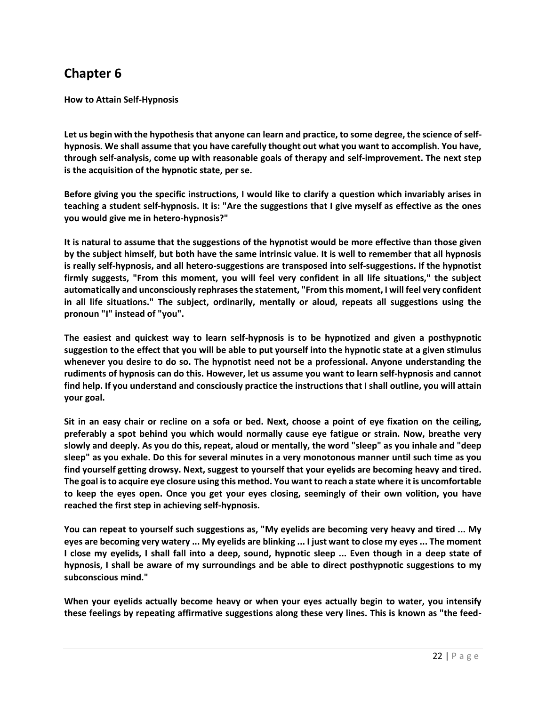**How to Attain Self-Hypnosis**

**Let us begin with the hypothesis that anyone can learn and practice, to some degree, the science of selfhypnosis. We shall assume that you have carefully thought out what you want to accomplish. You have, through self-analysis, come up with reasonable goals of therapy and self-improvement. The next step is the acquisition of the hypnotic state, per se.**

**Before giving you the specific instructions, I would like to clarify a question which invariably arises in teaching a student self-hypnosis. It is: "Are the suggestions that I give myself as effective as the ones you would give me in hetero-hypnosis?"**

**It is natural to assume that the suggestions of the hypnotist would be more effective than those given by the subject himself, but both have the same intrinsic value. It is well to remember that all hypnosis is really self-hypnosis, and all hetero-suggestions are transposed into self-suggestions. If the hypnotist firmly suggests, "From this moment, you will feel very confident in all life situations," the subject automatically and unconsciously rephrases the statement, "From this moment, I will feel very confident in all life situations." The subject, ordinarily, mentally or aloud, repeats all suggestions using the pronoun "I" instead of "you".**

**The easiest and quickest way to learn self-hypnosis is to be hypnotized and given a posthypnotic suggestion to the effect that you will be able to put yourself into the hypnotic state at a given stimulus whenever you desire to do so. The hypnotist need not be a professional. Anyone understanding the rudiments of hypnosis can do this. However, let us assume you want to learn self-hypnosis and cannot find help. If you understand and consciously practice the instructions that I shall outline, you will attain your goal.**

**Sit in an easy chair or recline on a sofa or bed. Next, choose a point of eye fixation on the ceiling, preferably a spot behind you which would normally cause eye fatigue or strain. Now, breathe very slowly and deeply. As you do this, repeat, aloud or mentally, the word "sleep" as you inhale and "deep sleep" as you exhale. Do this for several minutes in a very monotonous manner until such time as you find yourself getting drowsy. Next, suggest to yourself that your eyelids are becoming heavy and tired. The goal is to acquire eye closure using this method. You want to reach a state where it is uncomfortable to keep the eyes open. Once you get your eyes closing, seemingly of their own volition, you have reached the first step in achieving self-hypnosis.**

**You can repeat to yourself such suggestions as, "My eyelids are becoming very heavy and tired ... My eyes are becoming very watery ... My eyelids are blinking ... I just want to close my eyes ... The moment I close my eyelids, I shall fall into a deep, sound, hypnotic sleep ... Even though in a deep state of hypnosis, I shall be aware of my surroundings and be able to direct posthypnotic suggestions to my subconscious mind."**

**When your eyelids actually become heavy or when your eyes actually begin to water, you intensify these feelings by repeating affirmative suggestions along these very lines. This is known as "the feed-**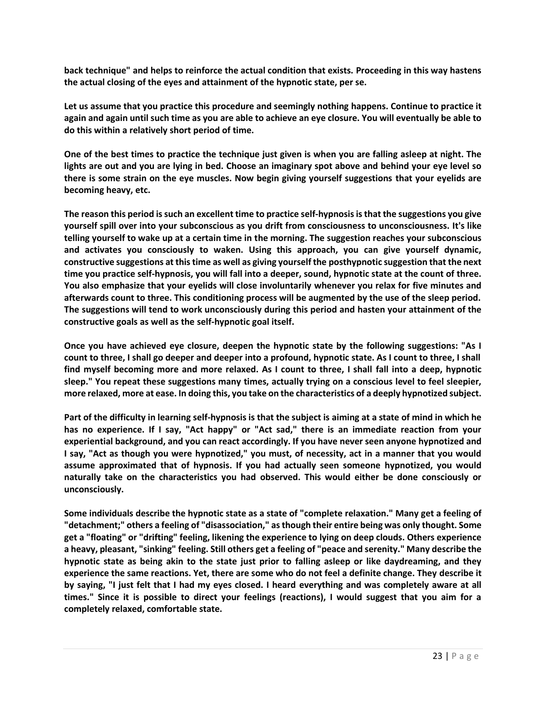**back technique" and helps to reinforce the actual condition that exists. Proceeding in this way hastens the actual closing of the eyes and attainment of the hypnotic state, per se.**

**Let us assume that you practice this procedure and seemingly nothing happens. Continue to practice it again and again until such time as you are able to achieve an eye closure. You will eventually be able to do this within a relatively short period of time.**

**One of the best times to practice the technique just given is when you are falling asleep at night. The lights are out and you are lying in bed. Choose an imaginary spot above and behind your eye level so there is some strain on the eye muscles. Now begin giving yourself suggestions that your eyelids are becoming heavy, etc.**

**The reason this period is such an excellent time to practice self-hypnosis is that the suggestions you give yourself spill over into your subconscious as you drift from consciousness to unconsciousness. It's like telling yourself to wake up at a certain time in the morning. The suggestion reaches your subconscious and activates you consciously to waken. Using this approach, you can give yourself dynamic, constructive suggestions at this time as well as giving yourself the posthypnotic suggestion that the next time you practice self-hypnosis, you will fall into a deeper, sound, hypnotic state at the count of three. You also emphasize that your eyelids will close involuntarily whenever you relax for five minutes and afterwards count to three. This conditioning process will be augmented by the use of the sleep period. The suggestions will tend to work unconsciously during this period and hasten your attainment of the constructive goals as well as the self-hypnotic goal itself.**

**Once you have achieved eye closure, deepen the hypnotic state by the following suggestions: "As I count to three, I shall go deeper and deeper into a profound, hypnotic state. As I count to three, I shall find myself becoming more and more relaxed. As I count to three, I shall fall into a deep, hypnotic sleep." You repeat these suggestions many times, actually trying on a conscious level to feel sleepier, more relaxed, more at ease. In doing this, you take on the characteristics of a deeply hypnotized subject.**

**Part of the difficulty in learning self-hypnosis is that the subject is aiming at a state of mind in which he has no experience. If I say, "Act happy" or "Act sad," there is an immediate reaction from your experiential background, and you can react accordingly. If you have never seen anyone hypnotized and I say, "Act as though you were hypnotized," you must, of necessity, act in a manner that you would assume approximated that of hypnosis. If you had actually seen someone hypnotized, you would naturally take on the characteristics you had observed. This would either be done consciously or unconsciously.**

**Some individuals describe the hypnotic state as a state of "complete relaxation." Many get a feeling of "detachment;" others a feeling of "disassociation," as though their entire being was only thought. Some get a "floating" or "drifting" feeling, likening the experience to lying on deep clouds. Others experience a heavy, pleasant, "sinking" feeling. Still others get a feeling of "peace and serenity." Many describe the hypnotic state as being akin to the state just prior to falling asleep or like daydreaming, and they experience the same reactions. Yet, there are some who do not feel a definite change. They describe it by saying, "I just felt that I had my eyes closed. I heard everything and was completely aware at all times." Since it is possible to direct your feelings (reactions), I would suggest that you aim for a completely relaxed, comfortable state.**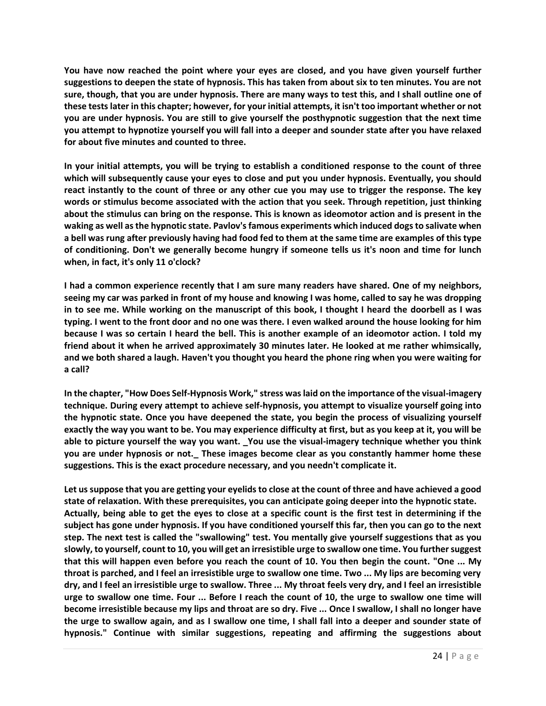**You have now reached the point where your eyes are closed, and you have given yourself further suggestions to deepen the state of hypnosis. This has taken from about six to ten minutes. You are not sure, though, that you are under hypnosis. There are many ways to test this, and I shall outline one of these tests later in this chapter; however, for your initial attempts, it isn't too important whether or not you are under hypnosis. You are still to give yourself the posthypnotic suggestion that the next time you attempt to hypnotize yourself you will fall into a deeper and sounder state after you have relaxed for about five minutes and counted to three.**

**In your initial attempts, you will be trying to establish a conditioned response to the count of three which will subsequently cause your eyes to close and put you under hypnosis. Eventually, you should react instantly to the count of three or any other cue you may use to trigger the response. The key words or stimulus become associated with the action that you seek. Through repetition, just thinking about the stimulus can bring on the response. This is known as ideomotor action and is present in the waking as well as the hypnotic state. Pavlov'sfamous experiments which induced dogs to salivate when a bell was rung after previously having had food fed to them at the same time are examples of this type of conditioning. Don't we generally become hungry if someone tells us it's noon and time for lunch when, in fact, it's only 11 o'clock?**

**I had a common experience recently that I am sure many readers have shared. One of my neighbors, seeing my car was parked in front of my house and knowing I was home, called to say he was dropping in to see me. While working on the manuscript of this book, I thought I heard the doorbell as I was typing. I went to the front door and no one was there. I even walked around the house looking for him because I was so certain I heard the bell. This is another example of an ideomotor action. I told my friend about it when he arrived approximately 30 minutes later. He looked at me rather whimsically, and we both shared a laugh. Haven't you thought you heard the phone ring when you were waiting for a call?**

**In the chapter, "How Does Self-Hypnosis Work," stress was laid on the importance of the visual-imagery technique. During every attempt to achieve self-hypnosis, you attempt to visualize yourself going into the hypnotic state. Once you have deepened the state, you begin the process of visualizing yourself exactly the way you want to be. You may experience difficulty at first, but as you keep at it, you will be able to picture yourself the way you want. \_You use the visual-imagery technique whether you think you are under hypnosis or not.\_ These images become clear as you constantly hammer home these suggestions. This is the exact procedure necessary, and you needn't complicate it.**

**Let us suppose that you are getting your eyelids to close at the count of three and have achieved a good state of relaxation. With these prerequisites, you can anticipate going deeper into the hypnotic state. Actually, being able to get the eyes to close at a specific count is the first test in determining if the subject has gone under hypnosis. If you have conditioned yourself this far, then you can go to the next step. The next test is called the "swallowing" test. You mentally give yourself suggestions that as you slowly, to yourself, count to 10, you will get an irresistible urge to swallow one time. You further suggest that this will happen even before you reach the count of 10. You then begin the count. "One ... My throat is parched, and I feel an irresistible urge to swallow one time. Two ... My lips are becoming very dry, and I feel an irresistible urge to swallow. Three ... My throat feels very dry, and I feel an irresistible urge to swallow one time. Four ... Before I reach the count of 10, the urge to swallow one time will become irresistible because my lips and throat are so dry. Five ... Once I swallow, I shall no longer have the urge to swallow again, and as I swallow one time, I shall fall into a deeper and sounder state of hypnosis." Continue with similar suggestions, repeating and affirming the suggestions about**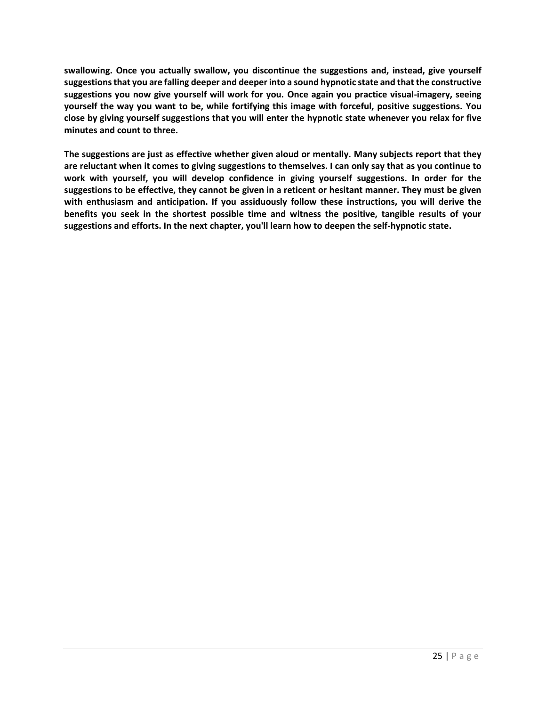**swallowing. Once you actually swallow, you discontinue the suggestions and, instead, give yourself suggestions that you are falling deeper and deeper into a sound hypnotic state and that the constructive suggestions you now give yourself will work for you. Once again you practice visual-imagery, seeing yourself the way you want to be, while fortifying this image with forceful, positive suggestions. You close by giving yourself suggestions that you will enter the hypnotic state whenever you relax for five minutes and count to three.**

**The suggestions are just as effective whether given aloud or mentally. Many subjects report that they are reluctant when it comes to giving suggestions to themselves. I can only say that as you continue to work with yourself, you will develop confidence in giving yourself suggestions. In order for the suggestions to be effective, they cannot be given in a reticent or hesitant manner. They must be given with enthusiasm and anticipation. If you assiduously follow these instructions, you will derive the benefits you seek in the shortest possible time and witness the positive, tangible results of your suggestions and efforts. In the next chapter, you'll learn how to deepen the self-hypnotic state.**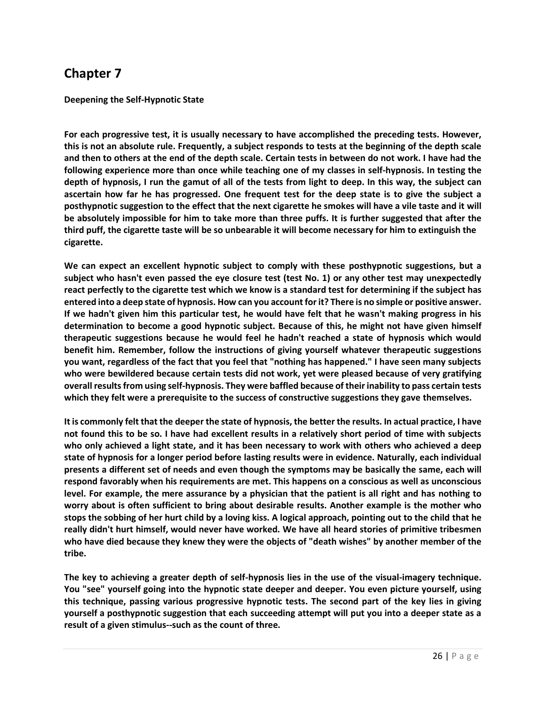**Deepening the Self-Hypnotic State**

**For each progressive test, it is usually necessary to have accomplished the preceding tests. However, this is not an absolute rule. Frequently, a subject responds to tests at the beginning of the depth scale and then to others at the end of the depth scale. Certain tests in between do not work. I have had the following experience more than once while teaching one of my classes in self-hypnosis. In testing the depth of hypnosis, I run the gamut of all of the tests from light to deep. In this way, the subject can ascertain how far he has progressed. One frequent test for the deep state is to give the subject a posthypnotic suggestion to the effect that the next cigarette he smokes will have a vile taste and it will be absolutely impossible for him to take more than three puffs. It is further suggested that after the third puff, the cigarette taste will be so unbearable it will become necessary for him to extinguish the cigarette.**

**We can expect an excellent hypnotic subject to comply with these posthypnotic suggestions, but a subject who hasn't even passed the eye closure test (test No. 1) or any other test may unexpectedly react perfectly to the cigarette test which we know is a standard test for determining if the subject has entered into a deep state of hypnosis. How can you account for it? There is no simple or positive answer. If we hadn't given him this particular test, he would have felt that he wasn't making progress in his determination to become a good hypnotic subject. Because of this, he might not have given himself therapeutic suggestions because he would feel he hadn't reached a state of hypnosis which would benefit him. Remember, follow the instructions of giving yourself whatever therapeutic suggestions you want, regardless of the fact that you feel that "nothing has happened." I have seen many subjects who were bewildered because certain tests did not work, yet were pleased because of very gratifying overall results from using self-hypnosis. They were baffled because of their inability to pass certain tests which they felt were a prerequisite to the success of constructive suggestions they gave themselves.**

**It is commonly felt that the deeper the state of hypnosis, the better the results. In actual practice, I have not found this to be so. I have had excellent results in a relatively short period of time with subjects who only achieved a light state, and it has been necessary to work with others who achieved a deep state of hypnosis for a longer period before lasting results were in evidence. Naturally, each individual presents a different set of needs and even though the symptoms may be basically the same, each will respond favorably when his requirements are met. This happens on a conscious as well as unconscious level. For example, the mere assurance by a physician that the patient is all right and has nothing to worry about is often sufficient to bring about desirable results. Another example is the mother who stops the sobbing of her hurt child by a loving kiss. A logical approach, pointing out to the child that he really didn't hurt himself, would never have worked. We have all heard stories of primitive tribesmen who have died because they knew they were the objects of "death wishes" by another member of the tribe.**

**The key to achieving a greater depth of self-hypnosis lies in the use of the visual-imagery technique. You "see" yourself going into the hypnotic state deeper and deeper. You even picture yourself, using this technique, passing various progressive hypnotic tests. The second part of the key lies in giving yourself a posthypnotic suggestion that each succeeding attempt will put you into a deeper state as a result of a given stimulus--such as the count of three.**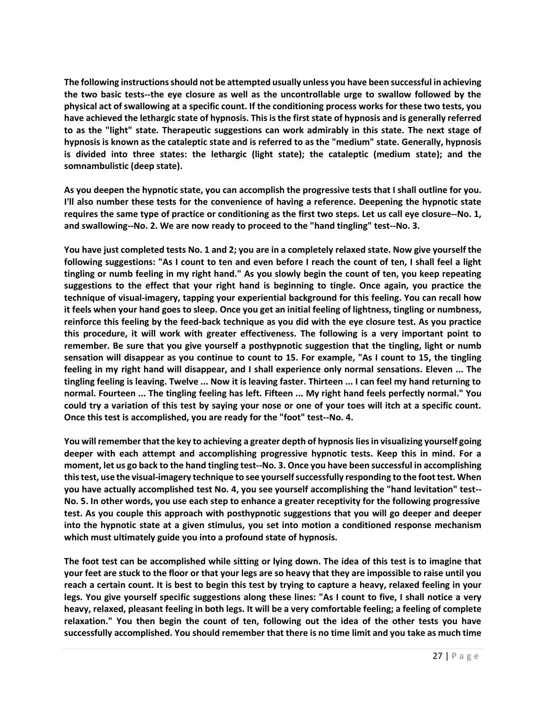**The following instructions should not be attempted usually unless you have been successful in achieving the two basic tests--the eye closure as well as the uncontrollable urge to swallow followed by the physical act of swallowing at a specific count. If the conditioning process works for these two tests, you have achieved the lethargic state of hypnosis. This is the first state of hypnosis and is generally referred to as the "light" state. Therapeutic suggestions can work admirably in this state. The next stage of hypnosis is known as the cataleptic state and is referred to as the "medium" state. Generally, hypnosis is divided into three states: the lethargic (light state); the cataleptic (medium state); and the somnambulistic (deep state).**

**As you deepen the hypnotic state, you can accomplish the progressive tests that I shall outline for you. I'll also number these tests for the convenience of having a reference. Deepening the hypnotic state requires the same type of practice or conditioning as the first two steps. Let us call eye closure--No. 1, and swallowing--No. 2. We are now ready to proceed to the "hand tingling" test--No. 3.**

**You have just completed tests No. 1 and 2; you are in a completely relaxed state. Now give yourself the following suggestions: "As I count to ten and even before I reach the count of ten, I shall feel a light tingling or numb feeling in my right hand." As you slowly begin the count of ten, you keep repeating suggestions to the effect that your right hand is beginning to tingle. Once again, you practice the technique of visual-imagery, tapping your experiential background for this feeling. You can recall how it feels when your hand goes to sleep. Once you get an initial feeling of lightness, tingling or numbness, reinforce this feeling by the feed-back technique as you did with the eye closure test. As you practice this procedure, it will work with greater effectiveness. The following is a very important point to remember. Be sure that you give yourself a posthypnotic suggestion that the tingling, light or numb sensation will disappear as you continue to count to 15. For example, "As I count to 15, the tingling feeling in my right hand will disappear, and I shall experience only normal sensations. Eleven ... The tingling feeling is leaving. Twelve ... Now it is leaving faster. Thirteen ... I can feel my hand returning to normal. Fourteen ... The tingling feeling has left. Fifteen ... My right hand feels perfectly normal." You could try a variation of this test by saying your nose or one of your toes will itch at a specific count. Once this test is accomplished, you are ready for the "foot" test--No. 4.**

**You will remember that the key to achieving a greater depth of hypnosis lies in visualizing yourself going deeper with each attempt and accomplishing progressive hypnotic tests. Keep this in mind. For a moment, let us go back to the hand tingling test--No. 3. Once you have been successful in accomplishing this test, use the visual-imagery technique to see yourself successfully responding to the foot test. When you have actually accomplished test No. 4, you see yourself accomplishing the "hand levitation" test-- No. 5. In other words, you use each step to enhance a greater receptivity for the following progressive test. As you couple this approach with posthypnotic suggestions that you will go deeper and deeper into the hypnotic state at a given stimulus, you set into motion a conditioned response mechanism which must ultimately guide you into a profound state of hypnosis.**

**The foot test can be accomplished while sitting or lying down. The idea of this test is to imagine that your feet are stuck to the floor or that your legs are so heavy that they are impossible to raise until you reach a certain count. It is best to begin this test by trying to capture a heavy, relaxed feeling in your legs. You give yourself specific suggestions along these lines: "As I count to five, I shall notice a very heavy, relaxed, pleasant feeling in both legs. It will be a very comfortable feeling; a feeling of complete relaxation." You then begin the count of ten, following out the idea of the other tests you have successfully accomplished. You should remember that there is no time limit and you take as much time**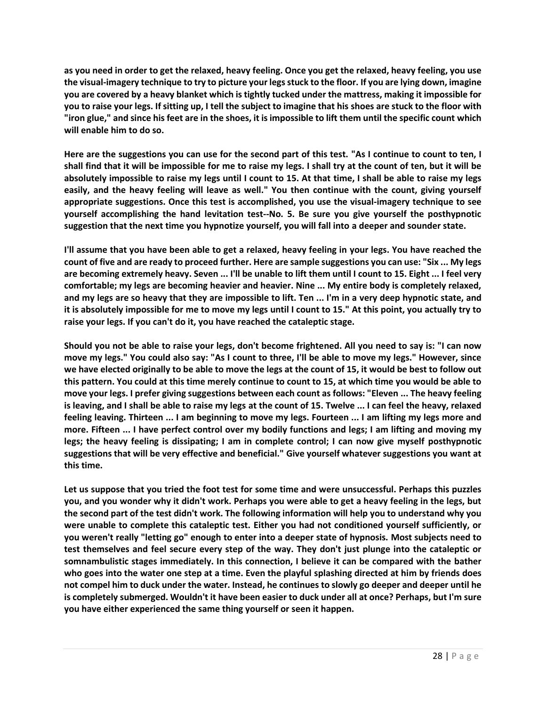**as you need in order to get the relaxed, heavy feeling. Once you get the relaxed, heavy feeling, you use the visual-imagery technique to try to picture your legs stuck to the floor. If you are lying down, imagine you are covered by a heavy blanket which is tightly tucked under the mattress, making it impossible for you to raise your legs. If sitting up, I tell the subject to imagine that his shoes are stuck to the floor with "iron glue," and since his feet are in the shoes, it is impossible to lift them until the specific count which will enable him to do so.**

**Here are the suggestions you can use for the second part of this test. "As I continue to count to ten, I shall find that it will be impossible for me to raise my legs. I shall try at the count of ten, but it will be absolutely impossible to raise my legs until I count to 15. At that time, I shall be able to raise my legs easily, and the heavy feeling will leave as well." You then continue with the count, giving yourself appropriate suggestions. Once this test is accomplished, you use the visual-imagery technique to see yourself accomplishing the hand levitation test--No. 5. Be sure you give yourself the posthypnotic suggestion that the next time you hypnotize yourself, you will fall into a deeper and sounder state.**

**I'll assume that you have been able to get a relaxed, heavy feeling in your legs. You have reached the count of five and are ready to proceed further. Here are sample suggestions you can use: "Six ... My legs are becoming extremely heavy. Seven ... I'll be unable to lift them until I count to 15. Eight ... I feel very comfortable; my legs are becoming heavier and heavier. Nine ... My entire body is completely relaxed, and my legs are so heavy that they are impossible to lift. Ten ... I'm in a very deep hypnotic state, and it is absolutely impossible for me to move my legs until I count to 15." At this point, you actually try to raise your legs. If you can't do it, you have reached the cataleptic stage.**

**Should you not be able to raise your legs, don't become frightened. All you need to say is: "I can now move my legs." You could also say: "As I count to three, I'll be able to move my legs." However, since we have elected originally to be able to move the legs at the count of 15, it would be best to follow out this pattern. You could at this time merely continue to count to 15, at which time you would be able to move your legs. I prefer giving suggestions between each count as follows: "Eleven ... The heavy feeling is leaving, and I shall be able to raise my legs at the count of 15. Twelve ... I can feel the heavy, relaxed feeling leaving. Thirteen ... I am beginning to move my legs. Fourteen ... I am lifting my legs more and more. Fifteen ... I have perfect control over my bodily functions and legs; I am lifting and moving my legs; the heavy feeling is dissipating; I am in complete control; I can now give myself posthypnotic suggestions that will be very effective and beneficial." Give yourself whatever suggestions you want at this time.**

**Let us suppose that you tried the foot test for some time and were unsuccessful. Perhaps this puzzles you, and you wonder why it didn't work. Perhaps you were able to get a heavy feeling in the legs, but the second part of the test didn't work. The following information will help you to understand why you were unable to complete this cataleptic test. Either you had not conditioned yourself sufficiently, or you weren't really "letting go" enough to enter into a deeper state of hypnosis. Most subjects need to test themselves and feel secure every step of the way. They don't just plunge into the cataleptic or somnambulistic stages immediately. In this connection, I believe it can be compared with the bather who goes into the water one step at a time. Even the playful splashing directed at him by friends does not compel him to duck under the water. Instead, he continues to slowly go deeper and deeper until he is completely submerged. Wouldn't it have been easier to duck under all at once? Perhaps, but I'm sure you have either experienced the same thing yourself or seen it happen.**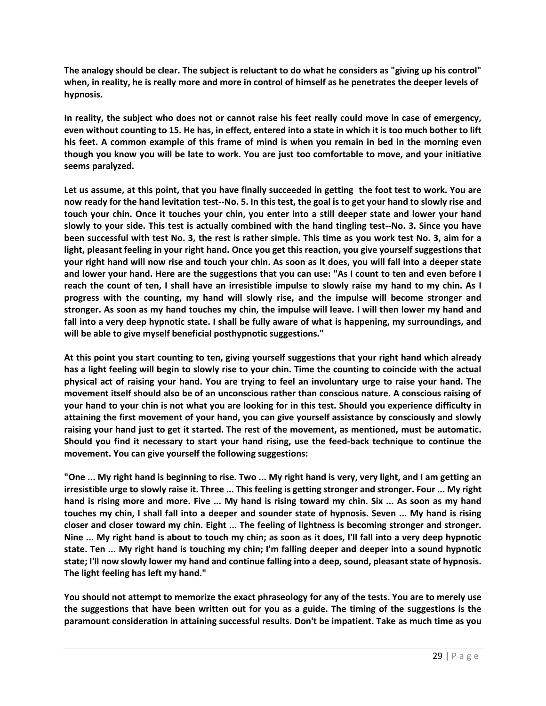**The analogy should be clear. The subject is reluctant to do what he considers as "giving up his control" when, in reality, he is really more and more in control of himself as he penetrates the deeper levels of hypnosis.**

**In reality, the subject who does not or cannot raise his feet really could move in case of emergency, even without counting to 15. He has, in effect, entered into a state in which it is too much bother to lift his feet. A common example of this frame of mind is when you remain in bed in the morning even though you know you will be late to work. You are just too comfortable to move, and your initiative seems paralyzed.**

**Let us assume, at this point, that you have finally succeeded in getting the foot test to work. You are now ready for the hand levitation test--No. 5. In this test, the goal is to get your hand to slowly rise and touch your chin. Once it touches your chin, you enter into a still deeper state and lower your hand slowly to your side. This test is actually combined with the hand tingling test--No. 3. Since you have been successful with test No. 3, the rest is rather simple. This time as you work test No. 3, aim for a light, pleasant feeling in your right hand. Once you get this reaction, you give yourself suggestions that your right hand will now rise and touch your chin. As soon as it does, you will fall into a deeper state and lower your hand. Here are the suggestions that you can use: "As I count to ten and even before I reach the count of ten, I shall have an irresistible impulse to slowly raise my hand to my chin. As I progress with the counting, my hand will slowly rise, and the impulse will become stronger and stronger. As soon as my hand touches my chin, the impulse will leave. I will then lower my hand and fall into a very deep hypnotic state. I shall be fully aware of what is happening, my surroundings, and will be able to give myself beneficial posthypnotic suggestions."**

**At this point you start counting to ten, giving yourself suggestions that your right hand which already has a light feeling will begin to slowly rise to your chin. Time the counting to coincide with the actual physical act of raising your hand. You are trying to feel an involuntary urge to raise your hand. The movement itself should also be of an unconscious rather than conscious nature. A conscious raising of your hand to your chin is not what you are looking for in this test. Should you experience difficulty in attaining the first movement of your hand, you can give yourself assistance by consciously and slowly raising your hand just to get it started. The rest of the movement, as mentioned, must be automatic. Should you find it necessary to start your hand rising, use the feed-back technique to continue the movement. You can give yourself the following suggestions:**

**"One ... My right hand is beginning to rise. Two ... My right hand is very, very light, and I am getting an irresistible urge to slowly raise it. Three ... This feeling is getting stronger and stronger. Four ... My right hand is rising more and more. Five ... My hand is rising toward my chin. Six ... As soon as my hand touches my chin, I shall fall into a deeper and sounder state of hypnosis. Seven ... My hand is rising closer and closer toward my chin. Eight ... The feeling of lightness is becoming stronger and stronger. Nine ... My right hand is about to touch my chin; as soon as it does, I'll fall into a very deep hypnotic state. Ten ... My right hand is touching my chin; I'm falling deeper and deeper into a sound hypnotic state; I'll now slowly lower my hand and continue falling into a deep, sound, pleasant state of hypnosis. The light feeling has left my hand."**

**You should not attempt to memorize the exact phraseology for any of the tests. You are to merely use the suggestions that have been written out for you as a guide. The timing of the suggestions is the paramount consideration in attaining successful results. Don't be impatient. Take as much time as you**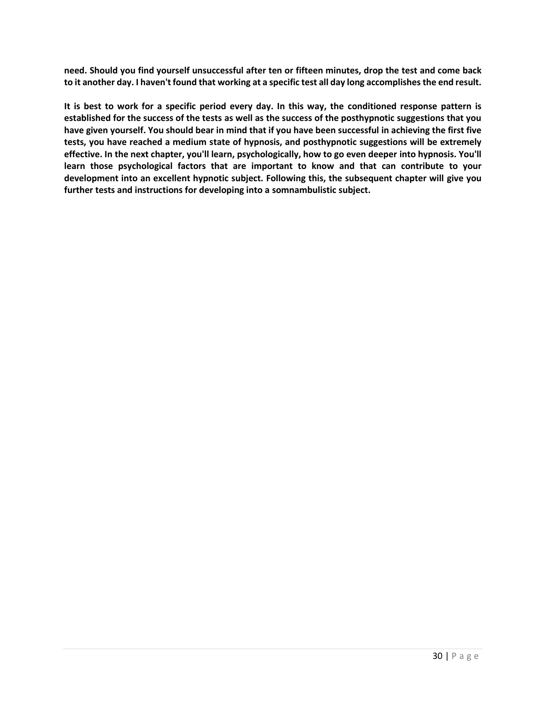**need. Should you find yourself unsuccessful after ten or fifteen minutes, drop the test and come back to it another day. I haven't found that working at a specific test all day long accomplishes the end result.**

**It is best to work for a specific period every day. In this way, the conditioned response pattern is established for the success of the tests as well as the success of the posthypnotic suggestions that you have given yourself. You should bear in mind that if you have been successful in achieving the first five tests, you have reached a medium state of hypnosis, and posthypnotic suggestions will be extremely effective. In the next chapter, you'll learn, psychologically, how to go even deeper into hypnosis. You'll learn those psychological factors that are important to know and that can contribute to your development into an excellent hypnotic subject. Following this, the subsequent chapter will give you further tests and instructions for developing into a somnambulistic subject.**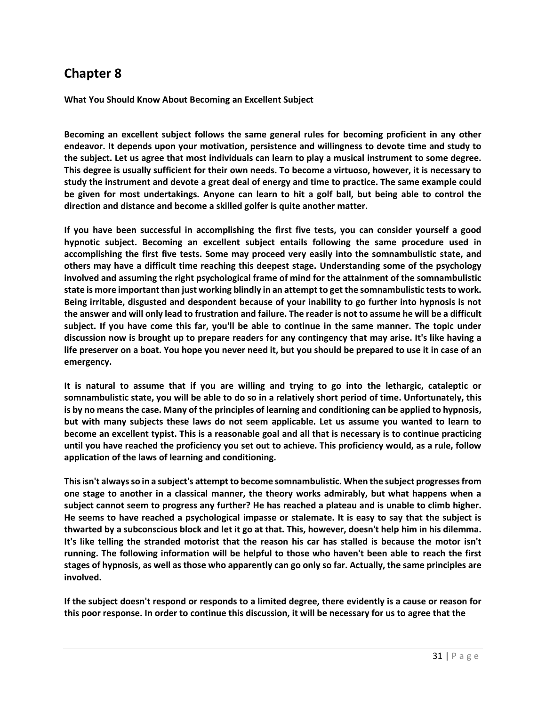**What You Should Know About Becoming an Excellent Subject**

**Becoming an excellent subject follows the same general rules for becoming proficient in any other endeavor. It depends upon your motivation, persistence and willingness to devote time and study to the subject. Let us agree that most individuals can learn to play a musical instrument to some degree. This degree is usually sufficient for their own needs. To become a virtuoso, however, it is necessary to study the instrument and devote a great deal of energy and time to practice. The same example could be given for most undertakings. Anyone can learn to hit a golf ball, but being able to control the direction and distance and become a skilled golfer is quite another matter.**

**If you have been successful in accomplishing the first five tests, you can consider yourself a good hypnotic subject. Becoming an excellent subject entails following the same procedure used in accomplishing the first five tests. Some may proceed very easily into the somnambulistic state, and others may have a difficult time reaching this deepest stage. Understanding some of the psychology involved and assuming the right psychological frame of mind for the attainment of the somnambulistic state is more important than just working blindly in an attempt to get the somnambulistic tests to work. Being irritable, disgusted and despondent because of your inability to go further into hypnosis is not the answer and will only lead to frustration and failure. The reader is not to assume he will be a difficult subject. If you have come this far, you'll be able to continue in the same manner. The topic under discussion now is brought up to prepare readers for any contingency that may arise. It's like having a life preserver on a boat. You hope you never need it, but you should be prepared to use it in case of an emergency.**

**It is natural to assume that if you are willing and trying to go into the lethargic, cataleptic or somnambulistic state, you will be able to do so in a relatively short period of time. Unfortunately, this is by no means the case. Many of the principles of learning and conditioning can be applied to hypnosis, but with many subjects these laws do not seem applicable. Let us assume you wanted to learn to become an excellent typist. This is a reasonable goal and all that is necessary is to continue practicing until you have reached the proficiency you set out to achieve. This proficiency would, as a rule, follow application of the laws of learning and conditioning.**

**This isn't always so in a subject's attempt to become somnambulistic. When the subject progresses from one stage to another in a classical manner, the theory works admirably, but what happens when a subject cannot seem to progress any further? He has reached a plateau and is unable to climb higher. He seems to have reached a psychological impasse or stalemate. It is easy to say that the subject is thwarted by a subconscious block and let it go at that. This, however, doesn't help him in his dilemma. It's like telling the stranded motorist that the reason his car has stalled is because the motor isn't running. The following information will be helpful to those who haven't been able to reach the first stages of hypnosis, as well as those who apparently can go only so far. Actually, the same principles are involved.**

**If the subject doesn't respond or responds to a limited degree, there evidently is a cause or reason for this poor response. In order to continue this discussion, it will be necessary for us to agree that the**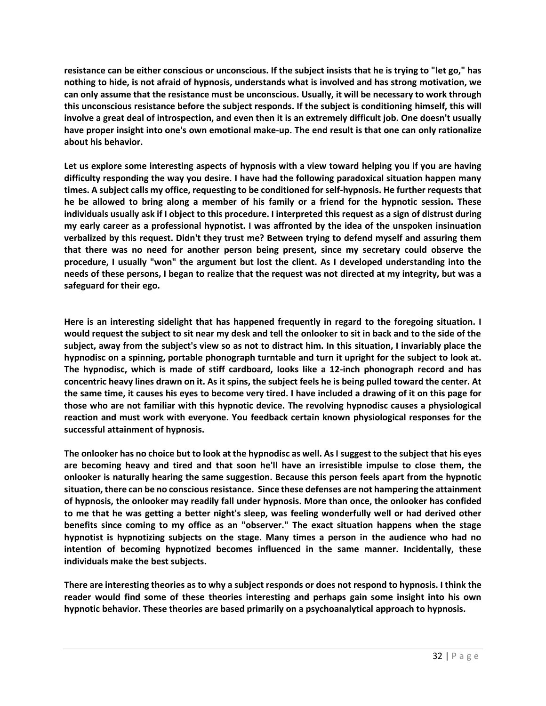**resistance can be either conscious or unconscious. If the subject insists that he is trying to "let go," has nothing to hide, is not afraid of hypnosis, understands what is involved and has strong motivation, we can only assume that the resistance must be unconscious. Usually, it will be necessary to work through this unconscious resistance before the subject responds. If the subject is conditioning himself, this will involve a great deal of introspection, and even then it is an extremely difficult job. One doesn't usually have proper insight into one's own emotional make-up. The end result is that one can only rationalize about his behavior.**

**Let us explore some interesting aspects of hypnosis with a view toward helping you if you are having difficulty responding the way you desire. I have had the following paradoxical situation happen many times. A subject calls my office, requesting to be conditioned for self-hypnosis. He further requests that he be allowed to bring along a member of his family or a friend for the hypnotic session. These individuals usually ask if I object to this procedure. I interpreted this request as a sign of distrust during my early career as a professional hypnotist. I was affronted by the idea of the unspoken insinuation verbalized by this request. Didn't they trust me? Between trying to defend myself and assuring them that there was no need for another person being present, since my secretary could observe the procedure, I usually "won" the argument but lost the client. As I developed understanding into the needs of these persons, I began to realize that the request was not directed at my integrity, but was a safeguard for their ego.**

**Here is an interesting sidelight that has happened frequently in regard to the foregoing situation. I would request the subject to sit near my desk and tell the onlooker to sit in back and to the side of the subject, away from the subject's view so as not to distract him. In this situation, I invariably place the hypnodisc on a spinning, portable phonograph turntable and turn it upright for the subject to look at. The hypnodisc, which is made of stiff cardboard, looks like a 12-inch phonograph record and has concentric heavy lines drawn on it. As it spins, the subject feels he is being pulled toward the center. At the same time, it causes his eyes to become very tired. I have included a drawing of it on this page for those who are not familiar with this hypnotic device. The revolving hypnodisc causes a physiological reaction and must work with everyone. You feedback certain known physiological responses for the successful attainment of hypnosis.**

**The onlooker has no choice but to look at the hypnodisc as well. As I suggest to the subject that his eyes are becoming heavy and tired and that soon he'll have an irresistible impulse to close them, the onlooker is naturally hearing the same suggestion. Because this person feels apart from the hypnotic situation, there can be no conscious resistance. Since these defenses are not hampering the attainment of hypnosis, the onlooker may readily fall under hypnosis. More than once, the onlooker has confided to me that he was getting a better night's sleep, was feeling wonderfully well or had derived other benefits since coming to my office as an "observer." The exact situation happens when the stage hypnotist is hypnotizing subjects on the stage. Many times a person in the audience who had no intention of becoming hypnotized becomes influenced in the same manner. Incidentally, these individuals make the best subjects.**

**There are interesting theories as to why a subject responds or does not respond to hypnosis. I think the reader would find some of these theories interesting and perhaps gain some insight into his own hypnotic behavior. These theories are based primarily on a psychoanalytical approach to hypnosis.**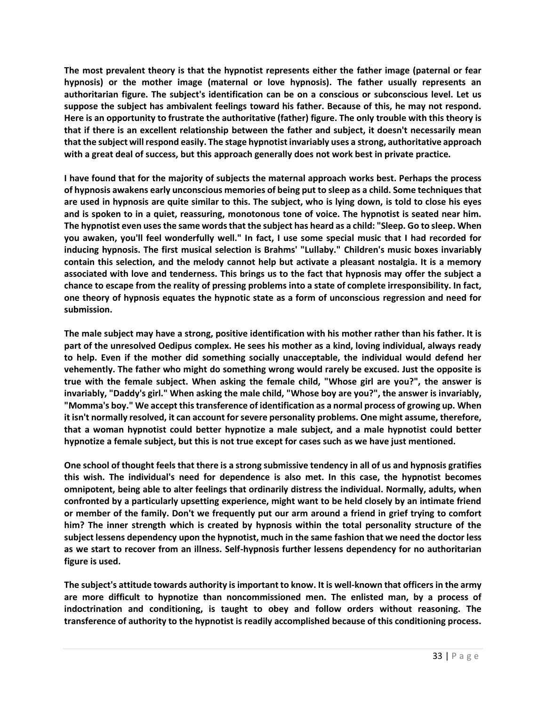**The most prevalent theory is that the hypnotist represents either the father image (paternal or fear hypnosis) or the mother image (maternal or love hypnosis). The father usually represents an authoritarian figure. The subject's identification can be on a conscious or subconscious level. Let us suppose the subject has ambivalent feelings toward his father. Because of this, he may not respond. Here is an opportunity to frustrate the authoritative (father) figure. The only trouble with this theory is that if there is an excellent relationship between the father and subject, it doesn't necessarily mean that the subject will respond easily. The stage hypnotist invariably uses a strong, authoritative approach with a great deal of success, but this approach generally does not work best in private practice.**

**I have found that for the majority of subjects the maternal approach works best. Perhaps the process of hypnosis awakens early unconscious memories of being put to sleep as a child. Some techniques that are used in hypnosis are quite similar to this. The subject, who is lying down, is told to close his eyes and is spoken to in a quiet, reassuring, monotonous tone of voice. The hypnotist is seated near him. The hypnotist even uses the same words that the subject has heard as a child: "Sleep. Go to sleep. When you awaken, you'll feel wonderfully well." In fact, I use some special music that I had recorded for inducing hypnosis. The first musical selection is Brahms' "Lullaby." Children's music boxes invariably contain this selection, and the melody cannot help but activate a pleasant nostalgia. It is a memory associated with love and tenderness. This brings us to the fact that hypnosis may offer the subject a chance to escape from the reality of pressing problems into a state of complete irresponsibility. In fact, one theory of hypnosis equates the hypnotic state as a form of unconscious regression and need for submission.**

**The male subject may have a strong, positive identification with his mother rather than his father. It is part of the unresolved Oedipus complex. He sees his mother as a kind, loving individual, always ready to help. Even if the mother did something socially unacceptable, the individual would defend her vehemently. The father who might do something wrong would rarely be excused. Just the opposite is true with the female subject. When asking the female child, "Whose girl are you?", the answer is invariably, "Daddy's girl." When asking the male child, "Whose boy are you?", the answer is invariably, "Momma's boy." We accept this transference of identification as a normal process of growing up. When it isn't normally resolved, it can account for severe personality problems. One might assume, therefore, that a woman hypnotist could better hypnotize a male subject, and a male hypnotist could better hypnotize a female subject, but this is not true except for cases such as we have just mentioned.**

**One school of thought feels that there is a strong submissive tendency in all of us and hypnosis gratifies this wish. The individual's need for dependence is also met. In this case, the hypnotist becomes omnipotent, being able to alter feelings that ordinarily distress the individual. Normally, adults, when confronted by a particularly upsetting experience, might want to be held closely by an intimate friend or member of the family. Don't we frequently put our arm around a friend in grief trying to comfort him? The inner strength which is created by hypnosis within the total personality structure of the subject lessens dependency upon the hypnotist, much in the same fashion that we need the doctor less as we start to recover from an illness. Self-hypnosis further lessens dependency for no authoritarian figure is used.**

**The subject's attitude towards authority is important to know. It is well-known that officers in the army are more difficult to hypnotize than noncommissioned men. The enlisted man, by a process of indoctrination and conditioning, is taught to obey and follow orders without reasoning. The transference of authority to the hypnotist is readily accomplished because of this conditioning process.**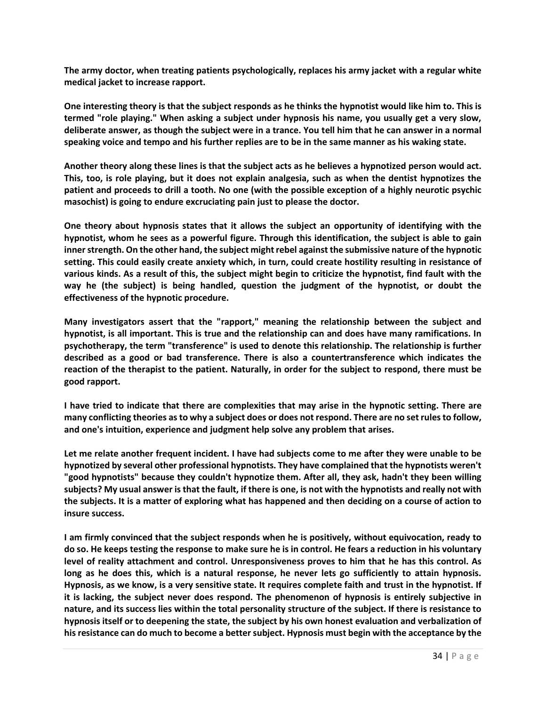**The army doctor, when treating patients psychologically, replaces his army jacket with a regular white medical jacket to increase rapport.**

**One interesting theory is that the subject responds as he thinks the hypnotist would like him to. This is termed "role playing." When asking a subject under hypnosis his name, you usually get a very slow, deliberate answer, as though the subject were in a trance. You tell him that he can answer in a normal speaking voice and tempo and his further replies are to be in the same manner as his waking state.**

**Another theory along these lines is that the subject acts as he believes a hypnotized person would act. This, too, is role playing, but it does not explain analgesia, such as when the dentist hypnotizes the patient and proceeds to drill a tooth. No one (with the possible exception of a highly neurotic psychic masochist) is going to endure excruciating pain just to please the doctor.**

**One theory about hypnosis states that it allows the subject an opportunity of identifying with the hypnotist, whom he sees as a powerful figure. Through this identification, the subject is able to gain inner strength. On the other hand, the subject might rebel against the submissive nature of the hypnotic setting. This could easily create anxiety which, in turn, could create hostility resulting in resistance of various kinds. As a result of this, the subject might begin to criticize the hypnotist, find fault with the way he (the subject) is being handled, question the judgment of the hypnotist, or doubt the effectiveness of the hypnotic procedure.**

**Many investigators assert that the "rapport," meaning the relationship between the subject and hypnotist, is all important. This is true and the relationship can and does have many ramifications. In psychotherapy, the term "transference" is used to denote this relationship. The relationship is further described as a good or bad transference. There is also a countertransference which indicates the reaction of the therapist to the patient. Naturally, in order for the subject to respond, there must be good rapport.**

**I have tried to indicate that there are complexities that may arise in the hypnotic setting. There are many conflicting theories as to why a subject does or does not respond. There are no set rules to follow, and one's intuition, experience and judgment help solve any problem that arises.**

**Let me relate another frequent incident. I have had subjects come to me after they were unable to be hypnotized by several other professional hypnotists. They have complained that the hypnotists weren't "good hypnotists" because they couldn't hypnotize them. After all, they ask, hadn't they been willing subjects? My usual answer is that the fault, if there is one, is not with the hypnotists and really not with the subjects. It is a matter of exploring what has happened and then deciding on a course of action to insure success.**

**I am firmly convinced that the subject responds when he is positively, without equivocation, ready to do so. He keeps testing the response to make sure he is in control. He fears a reduction in his voluntary level of reality attachment and control. Unresponsiveness proves to him that he has this control. As long as he does this, which is a natural response, he never lets go sufficiently to attain hypnosis. Hypnosis, as we know, is a very sensitive state. It requires complete faith and trust in the hypnotist. If it is lacking, the subject never does respond. The phenomenon of hypnosis is entirely subjective in nature, and its success lies within the total personality structure of the subject. If there is resistance to hypnosis itself or to deepening the state, the subject by his own honest evaluation and verbalization of hisresistance can do much to become a better subject. Hypnosis must begin with the acceptance by the**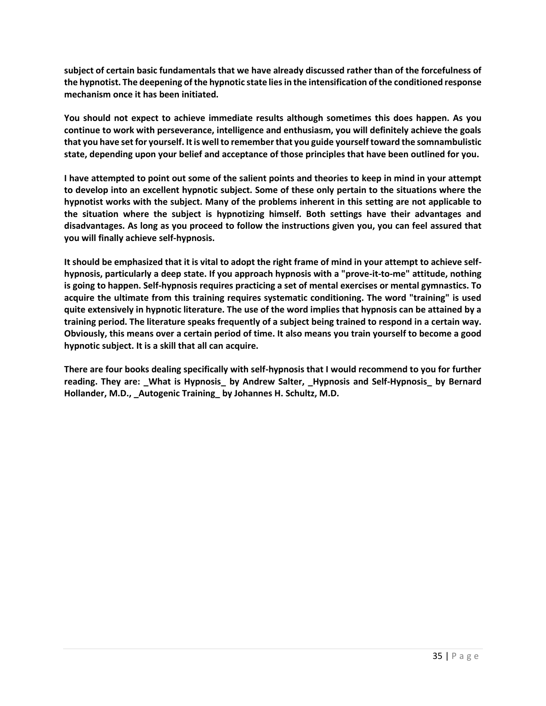**subject of certain basic fundamentals that we have already discussed rather than of the forcefulness of the hypnotist. The deepening of the hypnotic state lies in the intensification of the conditioned response mechanism once it has been initiated.**

**You should not expect to achieve immediate results although sometimes this does happen. As you continue to work with perseverance, intelligence and enthusiasm, you will definitely achieve the goals that you have set for yourself. It is well to remember that you guide yourself toward the somnambulistic state, depending upon your belief and acceptance of those principles that have been outlined for you.**

**I have attempted to point out some of the salient points and theories to keep in mind in your attempt to develop into an excellent hypnotic subject. Some of these only pertain to the situations where the hypnotist works with the subject. Many of the problems inherent in this setting are not applicable to the situation where the subject is hypnotizing himself. Both settings have their advantages and disadvantages. As long as you proceed to follow the instructions given you, you can feel assured that you will finally achieve self-hypnosis.**

**It should be emphasized that it is vital to adopt the right frame of mind in your attempt to achieve selfhypnosis, particularly a deep state. If you approach hypnosis with a "prove-it-to-me" attitude, nothing is going to happen. Self-hypnosis requires practicing a set of mental exercises or mental gymnastics. To acquire the ultimate from this training requires systematic conditioning. The word "training" is used quite extensively in hypnotic literature. The use of the word implies that hypnosis can be attained by a training period. The literature speaks frequently of a subject being trained to respond in a certain way. Obviously, this means over a certain period of time. It also means you train yourself to become a good hypnotic subject. It is a skill that all can acquire.**

**There are four books dealing specifically with self-hypnosis that I would recommend to you for further reading. They are: \_What is Hypnosis\_ by Andrew Salter, \_Hypnosis and Self-Hypnosis\_ by Bernard Hollander, M.D., \_Autogenic Training\_ by Johannes H. Schultz, M.D.**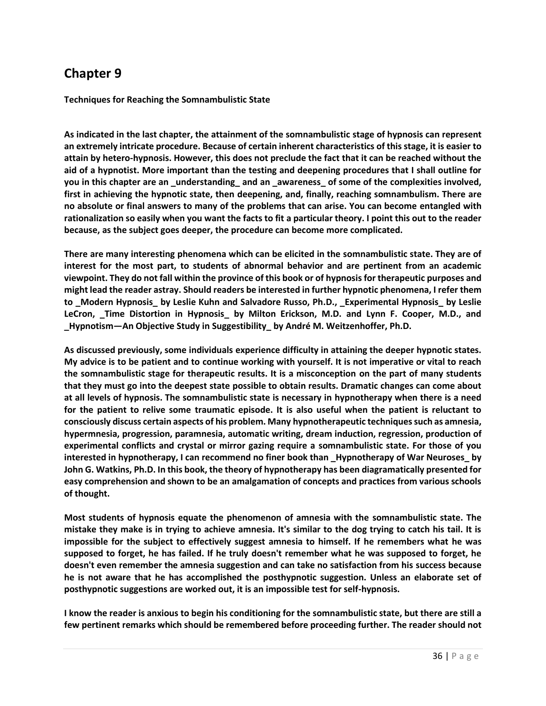**Techniques for Reaching the Somnambulistic State**

**As indicated in the last chapter, the attainment of the somnambulistic stage of hypnosis can represent an extremely intricate procedure. Because of certain inherent characteristics of this stage, it is easier to attain by hetero-hypnosis. However, this does not preclude the fact that it can be reached without the aid of a hypnotist. More important than the testing and deepening procedures that I shall outline for you in this chapter are an \_understanding\_ and an \_awareness\_ of some of the complexities involved, first in achieving the hypnotic state, then deepening, and, finally, reaching somnambulism. There are no absolute or final answers to many of the problems that can arise. You can become entangled with rationalization so easily when you want the facts to fit a particular theory. I point this out to the reader because, as the subject goes deeper, the procedure can become more complicated.**

**There are many interesting phenomena which can be elicited in the somnambulistic state. They are of interest for the most part, to students of abnormal behavior and are pertinent from an academic viewpoint. They do not fall within the province of this book or of hypnosis for therapeutic purposes and might lead the reader astray. Should readers be interested in further hypnotic phenomena, I refer them to \_Modern Hypnosis\_ by Leslie Kuhn and Salvadore Russo, Ph.D., \_Experimental Hypnosis\_ by Leslie LeCron, \_Time Distortion in Hypnosis\_ by Milton Erickson, M.D. and Lynn F. Cooper, M.D., and \_Hypnotism—An Objective Study in Suggestibility\_ by André M. Weitzenhoffer, Ph.D.**

**As discussed previously, some individuals experience difficulty in attaining the deeper hypnotic states. My advice is to be patient and to continue working with yourself. It is not imperative or vital to reach the somnambulistic stage for therapeutic results. It is a misconception on the part of many students that they must go into the deepest state possible to obtain results. Dramatic changes can come about at all levels of hypnosis. The somnambulistic state is necessary in hypnotherapy when there is a need for the patient to relive some traumatic episode. It is also useful when the patient is reluctant to consciously discuss certain aspects of his problem. Many hypnotherapeutic techniques such as amnesia, hypermnesia, progression, paramnesia, automatic writing, dream induction, regression, production of experimental conflicts and crystal or mirror gazing require a somnambulistic state. For those of you interested in hypnotherapy, I can recommend no finer book than \_Hypnotherapy of War Neuroses\_ by John G. Watkins, Ph.D. In this book, the theory of hypnotherapy has been diagramatically presented for easy comprehension and shown to be an amalgamation of concepts and practices from various schools of thought.**

**Most students of hypnosis equate the phenomenon of amnesia with the somnambulistic state. The mistake they make is in trying to achieve amnesia. It's similar to the dog trying to catch his tail. It is impossible for the subject to effectively suggest amnesia to himself. If he remembers what he was supposed to forget, he has failed. If he truly doesn't remember what he was supposed to forget, he doesn't even remember the amnesia suggestion and can take no satisfaction from his success because he is not aware that he has accomplished the posthypnotic suggestion. Unless an elaborate set of posthypnotic suggestions are worked out, it is an impossible test for self-hypnosis.**

**I know the reader is anxious to begin his conditioning for the somnambulistic state, but there are still a few pertinent remarks which should be remembered before proceeding further. The reader should not**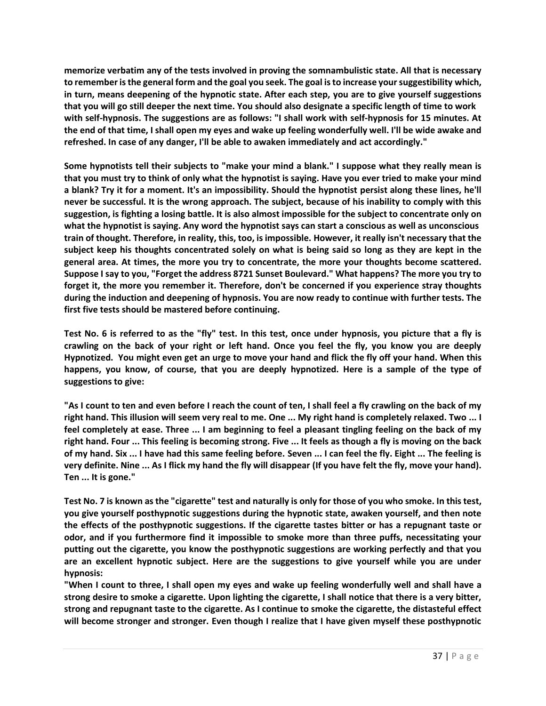**memorize verbatim any of the tests involved in proving the somnambulistic state. All that is necessary to remember is the general form and the goal you seek. The goal is to increase your suggestibility which, in turn, means deepening of the hypnotic state. After each step, you are to give yourself suggestions that you will go still deeper the next time. You should also designate a specific length of time to work with self-hypnosis. The suggestions are as follows: "I shall work with self-hypnosis for 15 minutes. At the end of that time, I shall open my eyes and wake up feeling wonderfully well. I'll be wide awake and refreshed. In case of any danger, I'll be able to awaken immediately and act accordingly."**

**Some hypnotists tell their subjects to "make your mind a blank." I suppose what they really mean is that you must try to think of only what the hypnotist is saying. Have you ever tried to make your mind a blank? Try it for a moment. It's an impossibility. Should the hypnotist persist along these lines, he'll never be successful. It is the wrong approach. The subject, because of his inability to comply with this suggestion, is fighting a losing battle. It is also almost impossible for the subject to concentrate only on what the hypnotist is saying. Any word the hypnotist says can start a conscious as well as unconscious train of thought. Therefore, in reality, this, too, is impossible. However, it really isn't necessary that the subject keep his thoughts concentrated solely on what is being said so long as they are kept in the general area. At times, the more you try to concentrate, the more your thoughts become scattered. Suppose I say to you, "Forget the address 8721 Sunset Boulevard." What happens? The more you try to forget it, the more you remember it. Therefore, don't be concerned if you experience stray thoughts during the induction and deepening of hypnosis. You are now ready to continue with further tests. The first five tests should be mastered before continuing.**

**Test No. 6 is referred to as the "fly" test. In this test, once under hypnosis, you picture that a fly is crawling on the back of your right or left hand. Once you feel the fly, you know you are deeply Hypnotized. You might even get an urge to move your hand and flick the fly off your hand. When this happens, you know, of course, that you are deeply hypnotized. Here is a sample of the type of suggestions to give:**

**"As I count to ten and even before I reach the count of ten, I shall feel a fly crawling on the back of my right hand. This illusion will seem very real to me. One ... My right hand is completely relaxed. Two ... I feel completely at ease. Three ... I am beginning to feel a pleasant tingling feeling on the back of my right hand. Four ... This feeling is becoming strong. Five ... It feels as though a fly is moving on the back of my hand. Six ... I have had this same feeling before. Seven ... I can feel the fly. Eight ... The feeling is very definite. Nine ... As I flick my hand the fly will disappear (If you have felt the fly, move your hand). Ten ... It is gone."**

**Test No. 7 is known as the "cigarette" test and naturally is only for those of you who smoke. In this test, you give yourself posthypnotic suggestions during the hypnotic state, awaken yourself, and then note the effects of the posthypnotic suggestions. If the cigarette tastes bitter or has a repugnant taste or odor, and if you furthermore find it impossible to smoke more than three puffs, necessitating your putting out the cigarette, you know the posthypnotic suggestions are working perfectly and that you are an excellent hypnotic subject. Here are the suggestions to give yourself while you are under hypnosis:**

**"When I count to three, I shall open my eyes and wake up feeling wonderfully well and shall have a strong desire to smoke a cigarette. Upon lighting the cigarette, I shall notice that there is a very bitter, strong and repugnant taste to the cigarette. As I continue to smoke the cigarette, the distasteful effect will become stronger and stronger. Even though I realize that I have given myself these posthypnotic**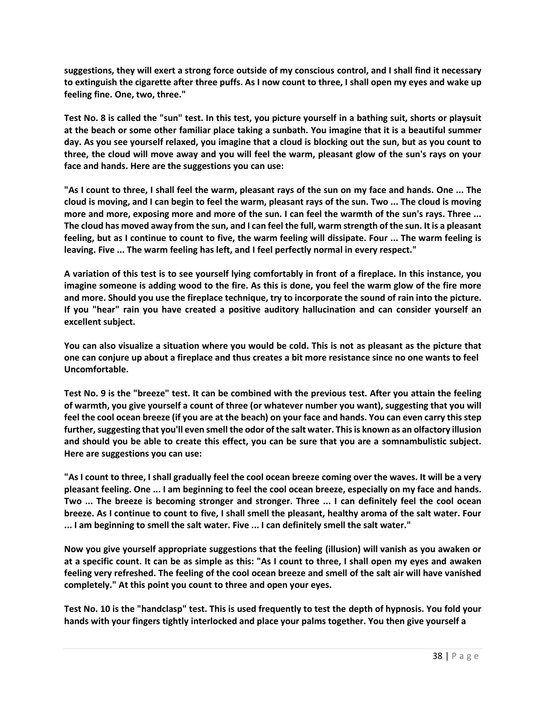**suggestions, they will exert a strong force outside of my conscious control, and I shall find it necessary to extinguish the cigarette after three puffs. As I now count to three, I shall open my eyes and wake up feeling fine. One, two, three."**

**Test No. 8 is called the "sun" test. In this test, you picture yourself in a bathing suit, shorts or playsuit at the beach or some other familiar place taking a sunbath. You imagine that it is a beautiful summer day. As you see yourself relaxed, you imagine that a cloud is blocking out the sun, but as you count to three, the cloud will move away and you will feel the warm, pleasant glow of the sun's rays on your face and hands. Here are the suggestions you can use:**

**"As I count to three, I shall feel the warm, pleasant rays of the sun on my face and hands. One ... The cloud is moving, and I can begin to feel the warm, pleasant rays of the sun. Two ... The cloud is moving more and more, exposing more and more of the sun. I can feel the warmth of the sun's rays. Three ... The cloud has moved away from the sun, and I can feel the full, warm strength of the sun. It is a pleasant feeling, but as I continue to count to five, the warm feeling will dissipate. Four ... The warm feeling is leaving. Five ... The warm feeling has left, and I feel perfectly normal in every respect."**

**A variation of this test is to see yourself lying comfortably in front of a fireplace. In this instance, you imagine someone is adding wood to the fire. As this is done, you feel the warm glow of the fire more and more. Should you use the fireplace technique, try to incorporate the sound of rain into the picture. If you "hear" rain you have created a positive auditory hallucination and can consider yourself an excellent subject.**

**You can also visualize a situation where you would be cold. This is not as pleasant as the picture that one can conjure up about a fireplace and thus creates a bit more resistance since no one wants to feel Uncomfortable.**

**Test No. 9 is the "breeze" test. It can be combined with the previous test. After you attain the feeling of warmth, you give yourself a count of three (or whatever number you want), suggesting that you will feel the cool ocean breeze (if you are at the beach) on your face and hands. You can even carry this step further, suggesting that you'll even smell the odor of the salt water. This is known as an olfactory illusion and should you be able to create this effect, you can be sure that you are a somnambulistic subject. Here are suggestions you can use:**

**"As I count to three, I shall gradually feel the cool ocean breeze coming over the waves. It will be a very pleasant feeling. One ... I am beginning to feel the cool ocean breeze, especially on my face and hands. Two ... The breeze is becoming stronger and stronger. Three ... I can definitely feel the cool ocean breeze. As I continue to count to five, I shall smell the pleasant, healthy aroma of the salt water. Four ... I am beginning to smell the salt water. Five ... I can definitely smell the salt water."**

**Now you give yourself appropriate suggestions that the feeling (illusion) will vanish as you awaken or at a specific count. It can be as simple as this: "As I count to three, I shall open my eyes and awaken feeling very refreshed. The feeling of the cool ocean breeze and smell of the salt air will have vanished completely." At this point you count to three and open your eyes.**

**Test No. 10 is the "handclasp" test. This is used frequently to test the depth of hypnosis. You fold your hands with your fingers tightly interlocked and place your palms together. You then give yourself a**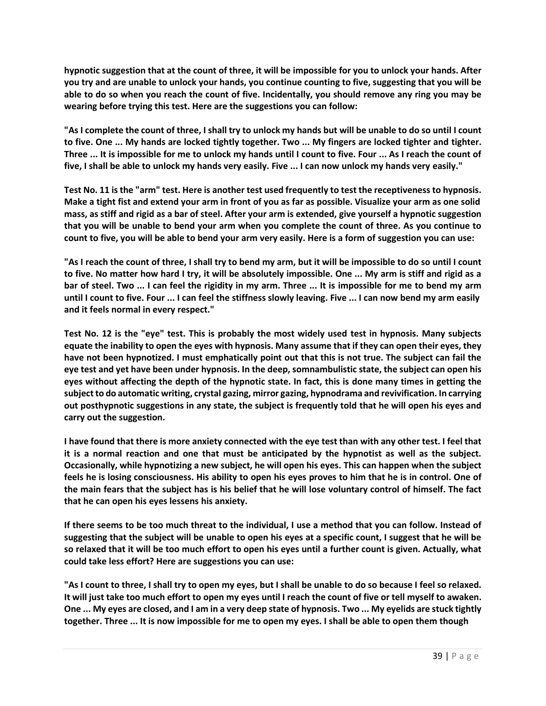**hypnotic suggestion that at the count of three, it will be impossible for you to unlock your hands. After you try and are unable to unlock your hands, you continue counting to five, suggesting that you will be able to do so when you reach the count of five. Incidentally, you should remove any ring you may be wearing before trying this test. Here are the suggestions you can follow:**

**"As I complete the count of three, I shall try to unlock my hands but will be unable to do so until I count to five. One ... My hands are locked tightly together. Two ... My fingers are locked tighter and tighter. Three ... It is impossible for me to unlock my hands until I count to five. Four ... As I reach the count of five, I shall be able to unlock my hands very easily. Five ... I can now unlock my hands very easily."**

**Test No. 11 is the "arm" test. Here is another test used frequently to test the receptiveness to hypnosis. Make a tight fist and extend your arm in front of you as far as possible. Visualize your arm as one solid mass, as stiff and rigid as a bar of steel. After your arm is extended, give yourself a hypnotic suggestion that you will be unable to bend your arm when you complete the count of three. As you continue to count to five, you will be able to bend your arm very easily. Here is a form of suggestion you can use:**

**"As I reach the count of three, I shall try to bend my arm, but it will be impossible to do so until I count to five. No matter how hard I try, it will be absolutely impossible. One ... My arm is stiff and rigid as a bar of steel. Two ... I can feel the rigidity in my arm. Three ... It is impossible for me to bend my arm until I count to five. Four ... I can feel the stiffness slowly leaving. Five ... I can now bend my arm easily and it feels normal in every respect."**

**Test No. 12 is the "eye" test. This is probably the most widely used test in hypnosis. Many subjects equate the inability to open the eyes with hypnosis. Many assume that if they can open their eyes, they have not been hypnotized. I must emphatically point out that this is not true. The subject can fail the eye test and yet have been under hypnosis. In the deep, somnambulistic state, the subject can open his eyes without affecting the depth of the hypnotic state. In fact, this is done many times in getting the subject to do automatic writing, crystal gazing, mirror gazing, hypnodrama and revivification. In carrying out posthypnotic suggestions in any state, the subject is frequently told that he will open his eyes and carry out the suggestion.**

**I have found that there is more anxiety connected with the eye test than with any other test. I feel that it is a normal reaction and one that must be anticipated by the hypnotist as well as the subject. Occasionally, while hypnotizing a new subject, he will open his eyes. This can happen when the subject feels he is losing consciousness. His ability to open his eyes proves to him that he is in control. One of the main fears that the subject has is his belief that he will lose voluntary control of himself. The fact that he can open his eyes lessens his anxiety.**

**If there seems to be too much threat to the individual, I use a method that you can follow. Instead of suggesting that the subject will be unable to open his eyes at a specific count, I suggest that he will be so relaxed that it will be too much effort to open his eyes until a further count is given. Actually, what could take less effort? Here are suggestions you can use:**

**"As I count to three, I shall try to open my eyes, but I shall be unable to do so because I feel so relaxed. It will just take too much effort to open my eyes until I reach the count of five or tell myself to awaken. One ... My eyes are closed, and I am in a very deep state of hypnosis. Two ... My eyelids are stuck tightly together. Three ... It is now impossible for me to open my eyes. I shall be able to open them though**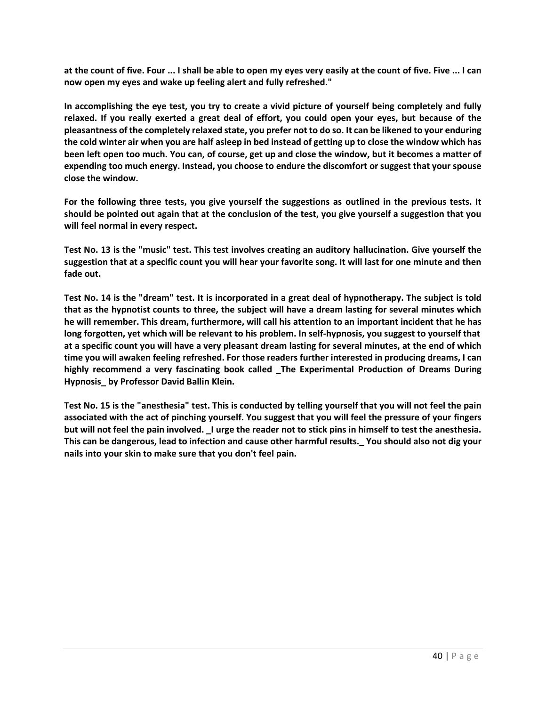**at the count of five. Four ... I shall be able to open my eyes very easily at the count of five. Five ... I can now open my eyes and wake up feeling alert and fully refreshed."**

**In accomplishing the eye test, you try to create a vivid picture of yourself being completely and fully relaxed. If you really exerted a great deal of effort, you could open your eyes, but because of the pleasantness of the completely relaxed state, you prefer not to do so. It can be likened to your enduring the cold winter air when you are half asleep in bed instead of getting up to close the window which has been left open too much. You can, of course, get up and close the window, but it becomes a matter of expending too much energy. Instead, you choose to endure the discomfort or suggest that your spouse close the window.**

**For the following three tests, you give yourself the suggestions as outlined in the previous tests. It should be pointed out again that at the conclusion of the test, you give yourself a suggestion that you will feel normal in every respect.**

**Test No. 13 is the "music" test. This test involves creating an auditory hallucination. Give yourself the suggestion that at a specific count you will hear your favorite song. It will last for one minute and then fade out.**

**Test No. 14 is the "dream" test. It is incorporated in a great deal of hypnotherapy. The subject is told that as the hypnotist counts to three, the subject will have a dream lasting for several minutes which he will remember. This dream, furthermore, will call his attention to an important incident that he has long forgotten, yet which will be relevant to his problem. In self-hypnosis, you suggest to yourself that at a specific count you will have a very pleasant dream lasting for several minutes, at the end of which time you will awaken feeling refreshed. For those readers further interested in producing dreams, I can highly recommend a very fascinating book called \_The Experimental Production of Dreams During Hypnosis\_ by Professor David Ballin Klein.**

**Test No. 15 is the "anesthesia" test. This is conducted by telling yourself that you will not feel the pain associated with the act of pinching yourself. You suggest that you will feel the pressure of your fingers but will not feel the pain involved. \_I urge the reader not to stick pins in himself to test the anesthesia. This can be dangerous, lead to infection and cause other harmful results.\_ You should also not dig your nails into your skin to make sure that you don't feel pain.**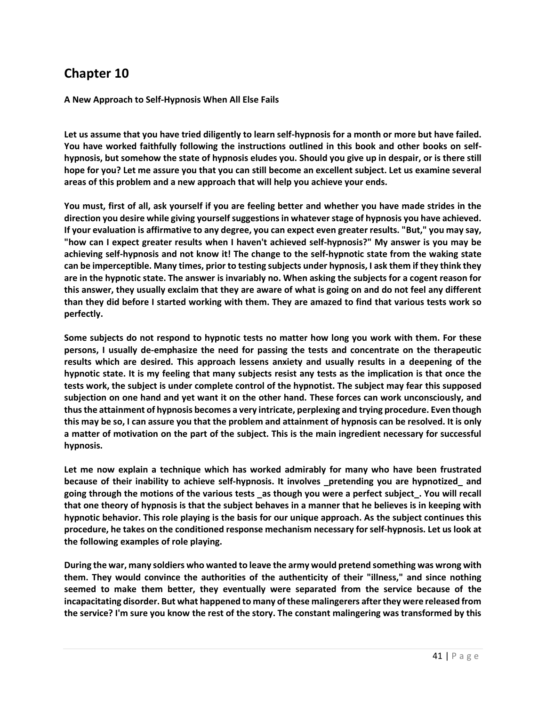**A New Approach to Self-Hypnosis When All Else Fails**

**Let us assume that you have tried diligently to learn self-hypnosis for a month or more but have failed. You have worked faithfully following the instructions outlined in this book and other books on selfhypnosis, but somehow the state of hypnosis eludes you. Should you give up in despair, or is there still hope for you? Let me assure you that you can still become an excellent subject. Let us examine several areas of this problem and a new approach that will help you achieve your ends.**

**You must, first of all, ask yourself if you are feeling better and whether you have made strides in the direction you desire while giving yourself suggestions in whatever stage of hypnosis you have achieved. If your evaluation is affirmative to any degree, you can expect even greater results. "But," you may say, "how can I expect greater results when I haven't achieved self-hypnosis?" My answer is you may be achieving self-hypnosis and not know it! The change to the self-hypnotic state from the waking state can be imperceptible. Many times, prior to testing subjects under hypnosis, I ask them if they think they are in the hypnotic state. The answer is invariably no. When asking the subjects for a cogent reason for this answer, they usually exclaim that they are aware of what is going on and do not feel any different than they did before I started working with them. They are amazed to find that various tests work so perfectly.**

**Some subjects do not respond to hypnotic tests no matter how long you work with them. For these persons, I usually de-emphasize the need for passing the tests and concentrate on the therapeutic results which are desired. This approach lessens anxiety and usually results in a deepening of the hypnotic state. It is my feeling that many subjects resist any tests as the implication is that once the tests work, the subject is under complete control of the hypnotist. The subject may fear this supposed subjection on one hand and yet want it on the other hand. These forces can work unconsciously, and thus the attainment of hypnosis becomes a very intricate, perplexing and trying procedure. Even though this may be so, I can assure you that the problem and attainment of hypnosis can be resolved. It is only a matter of motivation on the part of the subject. This is the main ingredient necessary for successful hypnosis.**

**Let me now explain a technique which has worked admirably for many who have been frustrated because of their inability to achieve self-hypnosis. It involves \_pretending you are hypnotized\_ and going through the motions of the various tests \_as though you were a perfect subject\_. You will recall that one theory of hypnosis is that the subject behaves in a manner that he believes is in keeping with hypnotic behavior. This role playing is the basis for our unique approach. As the subject continues this procedure, he takes on the conditioned response mechanism necessary for self-hypnosis. Let us look at the following examples of role playing.**

**During the war, many soldiers who wanted to leave the army would pretend something was wrong with them. They would convince the authorities of the authenticity of their "illness," and since nothing seemed to make them better, they eventually were separated from the service because of the incapacitating disorder. But what happened to many of these malingerers after they were released from the service? I'm sure you know the rest of the story. The constant malingering was transformed by this**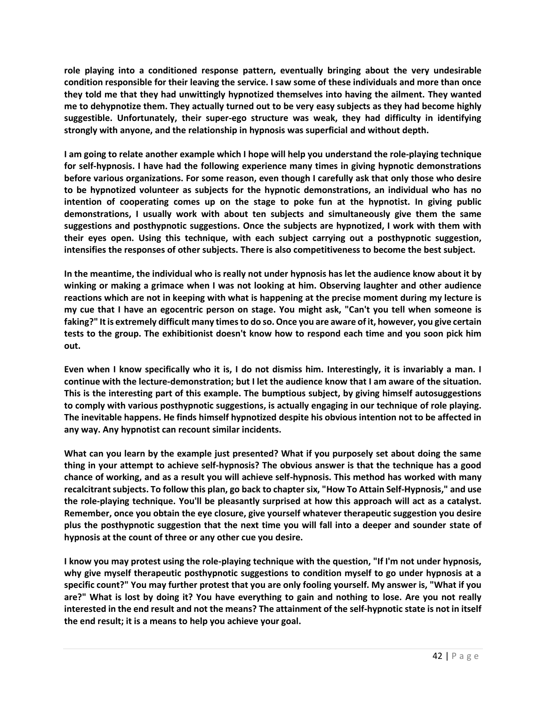**role playing into a conditioned response pattern, eventually bringing about the very undesirable condition responsible for their leaving the service. I saw some of these individuals and more than once they told me that they had unwittingly hypnotized themselves into having the ailment. They wanted me to dehypnotize them. They actually turned out to be very easy subjects as they had become highly suggestible. Unfortunately, their super-ego structure was weak, they had difficulty in identifying strongly with anyone, and the relationship in hypnosis was superficial and without depth.**

**I am going to relate another example which I hope will help you understand the role-playing technique for self-hypnosis. I have had the following experience many times in giving hypnotic demonstrations before various organizations. For some reason, even though I carefully ask that only those who desire to be hypnotized volunteer as subjects for the hypnotic demonstrations, an individual who has no intention of cooperating comes up on the stage to poke fun at the hypnotist. In giving public demonstrations, I usually work with about ten subjects and simultaneously give them the same suggestions and posthypnotic suggestions. Once the subjects are hypnotized, I work with them with their eyes open. Using this technique, with each subject carrying out a posthypnotic suggestion, intensifies the responses of other subjects. There is also competitiveness to become the best subject.**

**In the meantime, the individual who is really not under hypnosis has let the audience know about it by winking or making a grimace when I was not looking at him. Observing laughter and other audience reactions which are not in keeping with what is happening at the precise moment during my lecture is my cue that I have an egocentric person on stage. You might ask, "Can't you tell when someone is faking?" It is extremely difficult many times to do so. Once you are aware of it, however, you give certain tests to the group. The exhibitionist doesn't know how to respond each time and you soon pick him out.**

**Even when I know specifically who it is, I do not dismiss him. Interestingly, it is invariably a man. I continue with the lecture-demonstration; but I let the audience know that I am aware of the situation. This is the interesting part of this example. The bumptious subject, by giving himself autosuggestions to comply with various posthypnotic suggestions, is actually engaging in our technique of role playing. The inevitable happens. He finds himself hypnotized despite his obvious intention not to be affected in any way. Any hypnotist can recount similar incidents.**

**What can you learn by the example just presented? What if you purposely set about doing the same thing in your attempt to achieve self-hypnosis? The obvious answer is that the technique has a good chance of working, and as a result you will achieve self-hypnosis. This method has worked with many recalcitrant subjects. To follow this plan, go back to chapter six, "How To Attain Self-Hypnosis," and use the role-playing technique. You'll be pleasantly surprised at how this approach will act as a catalyst. Remember, once you obtain the eye closure, give yourself whatever therapeutic suggestion you desire plus the posthypnotic suggestion that the next time you will fall into a deeper and sounder state of hypnosis at the count of three or any other cue you desire.**

**I know you may protest using the role-playing technique with the question, "If I'm not under hypnosis, why give myself therapeutic posthypnotic suggestions to condition myself to go under hypnosis at a specific count?" You may further protest that you are only fooling yourself. My answer is, "What if you are?" What is lost by doing it? You have everything to gain and nothing to lose. Are you not really interested in the end result and not the means? The attainment of the self-hypnotic state is not in itself the end result; it is a means to help you achieve your goal.**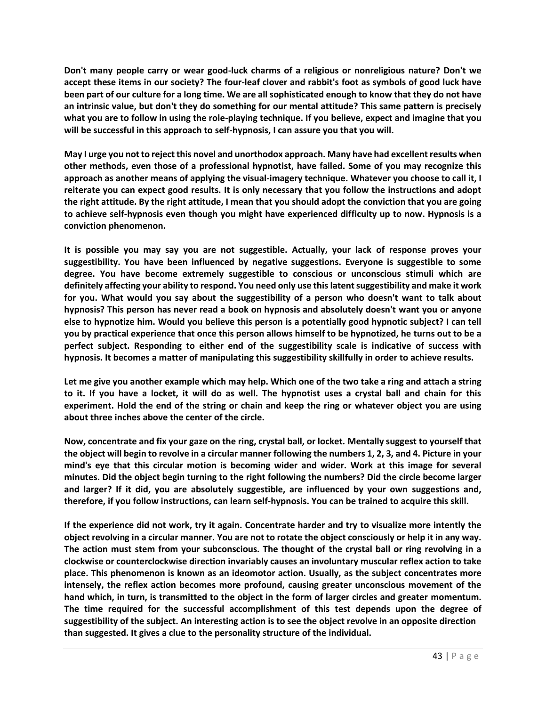**Don't many people carry or wear good-luck charms of a religious or nonreligious nature? Don't we accept these items in our society? The four-leaf clover and rabbit's foot as symbols of good luck have been part of our culture for a long time. We are all sophisticated enough to know that they do not have an intrinsic value, but don't they do something for our mental attitude? This same pattern is precisely what you are to follow in using the role-playing technique. If you believe, expect and imagine that you will be successful in this approach to self-hypnosis, I can assure you that you will.**

**May I urge you not to reject this novel and unorthodox approach. Many have had excellent results when other methods, even those of a professional hypnotist, have failed. Some of you may recognize this approach as another means of applying the visual-imagery technique. Whatever you choose to call it, I reiterate you can expect good results. It is only necessary that you follow the instructions and adopt the right attitude. By the right attitude, I mean that you should adopt the conviction that you are going to achieve self-hypnosis even though you might have experienced difficulty up to now. Hypnosis is a conviction phenomenon.**

**It is possible you may say you are not suggestible. Actually, your lack of response proves your suggestibility. You have been influenced by negative suggestions. Everyone is suggestible to some degree. You have become extremely suggestible to conscious or unconscious stimuli which are definitely affecting your ability to respond. You need only use this latent suggestibility and make it work for you. What would you say about the suggestibility of a person who doesn't want to talk about hypnosis? This person has never read a book on hypnosis and absolutely doesn't want you or anyone else to hypnotize him. Would you believe this person is a potentially good hypnotic subject? I can tell you by practical experience that once this person allows himself to be hypnotized, he turns out to be a perfect subject. Responding to either end of the suggestibility scale is indicative of success with hypnosis. It becomes a matter of manipulating this suggestibility skillfully in order to achieve results.**

**Let me give you another example which may help. Which one of the two take a ring and attach a string to it. If you have a locket, it will do as well. The hypnotist uses a crystal ball and chain for this experiment. Hold the end of the string or chain and keep the ring or whatever object you are using about three inches above the center of the circle.**

**Now, concentrate and fix your gaze on the ring, crystal ball, or locket. Mentally suggest to yourself that the object will begin to revolve in a circular manner following the numbers 1, 2, 3, and 4. Picture in your mind's eye that this circular motion is becoming wider and wider. Work at this image for several minutes. Did the object begin turning to the right following the numbers? Did the circle become larger and larger? If it did, you are absolutely suggestible, are influenced by your own suggestions and, therefore, if you follow instructions, can learn self-hypnosis. You can be trained to acquire this skill.**

**If the experience did not work, try it again. Concentrate harder and try to visualize more intently the object revolving in a circular manner. You are not to rotate the object consciously or help it in any way. The action must stem from your subconscious. The thought of the crystal ball or ring revolving in a clockwise or counterclockwise direction invariably causes an involuntary muscular reflex action to take place. This phenomenon is known as an ideomotor action. Usually, as the subject concentrates more intensely, the reflex action becomes more profound, causing greater unconscious movement of the hand which, in turn, is transmitted to the object in the form of larger circles and greater momentum. The time required for the successful accomplishment of this test depends upon the degree of suggestibility of the subject. An interesting action is to see the object revolve in an opposite direction than suggested. It gives a clue to the personality structure of the individual.**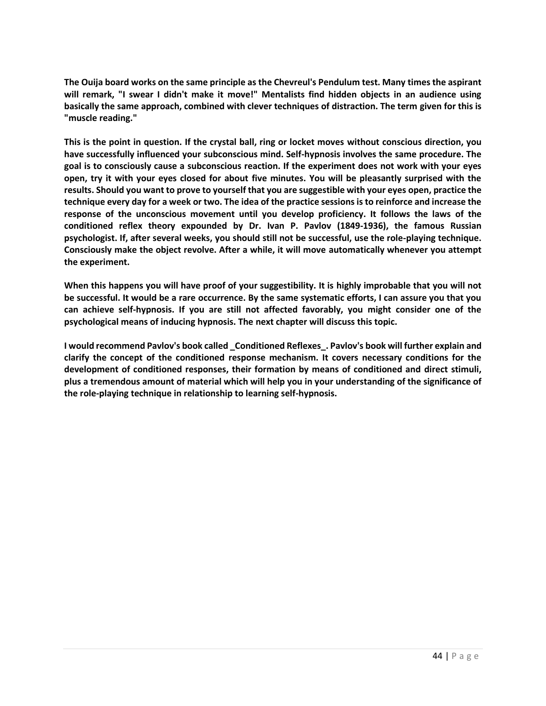**The Ouija board works on the same principle as the Chevreul's Pendulum test. Many times the aspirant will remark, "I swear I didn't make it move!" Mentalists find hidden objects in an audience using basically the same approach, combined with clever techniques of distraction. The term given for this is "muscle reading."**

**This is the point in question. If the crystal ball, ring or locket moves without conscious direction, you have successfully influenced your subconscious mind. Self-hypnosis involves the same procedure. The goal is to consciously cause a subconscious reaction. If the experiment does not work with your eyes open, try it with your eyes closed for about five minutes. You will be pleasantly surprised with the results. Should you want to prove to yourself that you are suggestible with your eyes open, practice the technique every day for a week or two. The idea of the practice sessions is to reinforce and increase the response of the unconscious movement until you develop proficiency. It follows the laws of the conditioned reflex theory expounded by Dr. Ivan P. Pavlov (1849-1936), the famous Russian psychologist. If, after several weeks, you should still not be successful, use the role-playing technique. Consciously make the object revolve. After a while, it will move automatically whenever you attempt the experiment.**

**When this happens you will have proof of your suggestibility. It is highly improbable that you will not be successful. It would be a rare occurrence. By the same systematic efforts, I can assure you that you can achieve self-hypnosis. If you are still not affected favorably, you might consider one of the psychological means of inducing hypnosis. The next chapter will discuss this topic.**

**I would recommend Pavlov's book called \_Conditioned Reflexes\_. Pavlov's book will further explain and clarify the concept of the conditioned response mechanism. It covers necessary conditions for the development of conditioned responses, their formation by means of conditioned and direct stimuli, plus a tremendous amount of material which will help you in your understanding of the significance of the role-playing technique in relationship to learning self-hypnosis.**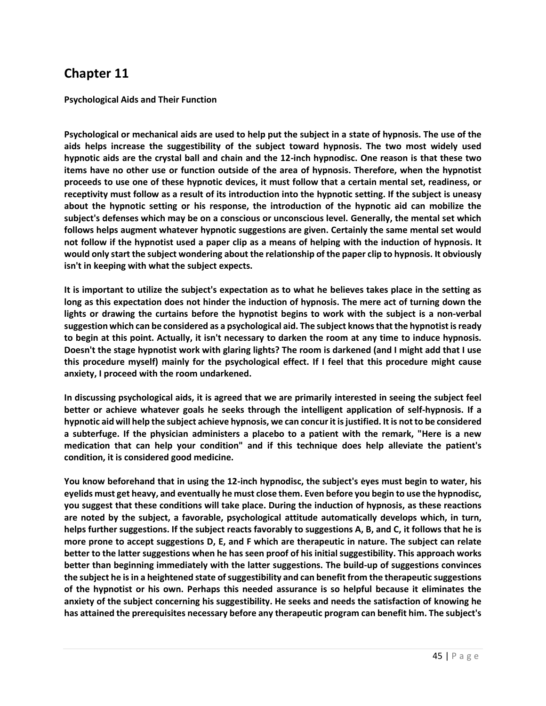**Psychological Aids and Their Function**

**Psychological or mechanical aids are used to help put the subject in a state of hypnosis. The use of the aids helps increase the suggestibility of the subject toward hypnosis. The two most widely used hypnotic aids are the crystal ball and chain and the 12-inch hypnodisc. One reason is that these two items have no other use or function outside of the area of hypnosis. Therefore, when the hypnotist proceeds to use one of these hypnotic devices, it must follow that a certain mental set, readiness, or receptivity must follow as a result of its introduction into the hypnotic setting. If the subject is uneasy about the hypnotic setting or his response, the introduction of the hypnotic aid can mobilize the subject's defenses which may be on a conscious or unconscious level. Generally, the mental set which follows helps augment whatever hypnotic suggestions are given. Certainly the same mental set would not follow if the hypnotist used a paper clip as a means of helping with the induction of hypnosis. It would only start the subject wondering about the relationship of the paper clip to hypnosis. It obviously isn't in keeping with what the subject expects.**

**It is important to utilize the subject's expectation as to what he believes takes place in the setting as long as this expectation does not hinder the induction of hypnosis. The mere act of turning down the lights or drawing the curtains before the hypnotist begins to work with the subject is a non-verbal suggestion which can be considered as a psychological aid. The subject knows that the hypnotist is ready to begin at this point. Actually, it isn't necessary to darken the room at any time to induce hypnosis. Doesn't the stage hypnotist work with glaring lights? The room is darkened (and I might add that I use this procedure myself) mainly for the psychological effect. If I feel that this procedure might cause anxiety, I proceed with the room undarkened.**

**In discussing psychological aids, it is agreed that we are primarily interested in seeing the subject feel better or achieve whatever goals he seeks through the intelligent application of self-hypnosis. If a hypnotic aid will help the subject achieve hypnosis, we can concur it isjustified. It is not to be considered a subterfuge. If the physician administers a placebo to a patient with the remark, "Here is a new medication that can help your condition" and if this technique does help alleviate the patient's condition, it is considered good medicine.**

**You know beforehand that in using the 12-inch hypnodisc, the subject's eyes must begin to water, his eyelids must get heavy, and eventually he must close them. Even before you begin to use the hypnodisc, you suggest that these conditions will take place. During the induction of hypnosis, as these reactions are noted by the subject, a favorable, psychological attitude automatically develops which, in turn, helps further suggestions. If the subject reacts favorably to suggestions A, B, and C, it follows that he is more prone to accept suggestions D, E, and F which are therapeutic in nature. The subject can relate better to the latter suggestions when he has seen proof of his initial suggestibility. This approach works better than beginning immediately with the latter suggestions. The build-up of suggestions convinces the subject he is in a heightened state of suggestibility and can benefit from the therapeutic suggestions of the hypnotist or his own. Perhaps this needed assurance is so helpful because it eliminates the anxiety of the subject concerning his suggestibility. He seeks and needs the satisfaction of knowing he has attained the prerequisites necessary before any therapeutic program can benefit him. The subject's**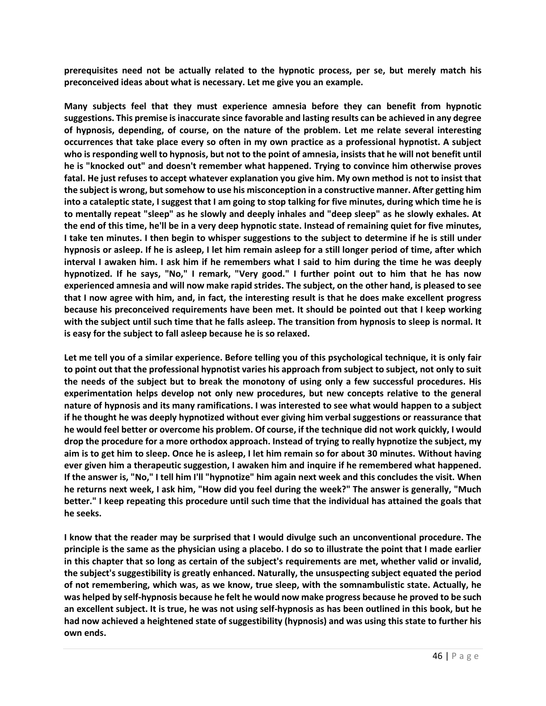**prerequisites need not be actually related to the hypnotic process, per se, but merely match his preconceived ideas about what is necessary. Let me give you an example.**

**Many subjects feel that they must experience amnesia before they can benefit from hypnotic suggestions. This premise is inaccurate since favorable and lasting results can be achieved in any degree of hypnosis, depending, of course, on the nature of the problem. Let me relate several interesting occurrences that take place every so often in my own practice as a professional hypnotist. A subject who is responding well to hypnosis, but not to the point of amnesia, insists that he will not benefit until he is "knocked out" and doesn't remember what happened. Trying to convince him otherwise proves fatal. He just refuses to accept whatever explanation you give him. My own method is not to insist that the subject is wrong, but somehow to use his misconception in a constructive manner. After getting him into a cataleptic state, I suggest that I am going to stop talking for five minutes, during which time he is to mentally repeat "sleep" as he slowly and deeply inhales and "deep sleep" as he slowly exhales. At the end of this time, he'll be in a very deep hypnotic state. Instead of remaining quiet for five minutes, I take ten minutes. I then begin to whisper suggestions to the subject to determine if he is still under hypnosis or asleep. If he is asleep, I let him remain asleep for a still longer period of time, after which interval I awaken him. I ask him if he remembers what I said to him during the time he was deeply hypnotized. If he says, "No," I remark, "Very good." I further point out to him that he has now experienced amnesia and will now make rapid strides. The subject, on the other hand, is pleased to see that I now agree with him, and, in fact, the interesting result is that he does make excellent progress because his preconceived requirements have been met. It should be pointed out that I keep working with the subject until such time that he falls asleep. The transition from hypnosis to sleep is normal. It is easy for the subject to fall asleep because he is so relaxed.**

**Let me tell you of a similar experience. Before telling you of this psychological technique, it is only fair to point out that the professional hypnotist varies his approach from subject to subject, not only to suit the needs of the subject but to break the monotony of using only a few successful procedures. His experimentation helps develop not only new procedures, but new concepts relative to the general nature of hypnosis and its many ramifications. I was interested to see what would happen to a subject if he thought he was deeply hypnotized without ever giving him verbal suggestions or reassurance that he would feel better or overcome his problem. Of course, if the technique did not work quickly, I would drop the procedure for a more orthodox approach. Instead of trying to really hypnotize the subject, my aim is to get him to sleep. Once he is asleep, I let him remain so for about 30 minutes. Without having ever given him a therapeutic suggestion, I awaken him and inquire if he remembered what happened. If the answer is, "No," I tell him I'll "hypnotize" him again next week and this concludes the visit. When he returns next week, I ask him, "How did you feel during the week?" The answer is generally, "Much better." I keep repeating this procedure until such time that the individual has attained the goals that he seeks.**

**I know that the reader may be surprised that I would divulge such an unconventional procedure. The principle is the same as the physician using a placebo. I do so to illustrate the point that I made earlier in this chapter that so long as certain of the subject's requirements are met, whether valid or invalid, the subject's suggestibility is greatly enhanced. Naturally, the unsuspecting subject equated the period of not remembering, which was, as we know, true sleep, with the somnambulistic state. Actually, he was helped by self-hypnosis because he felt he would now make progress because he proved to be such an excellent subject. It is true, he was not using self-hypnosis as has been outlined in this book, but he had now achieved a heightened state of suggestibility (hypnosis) and was using this state to further his own ends.**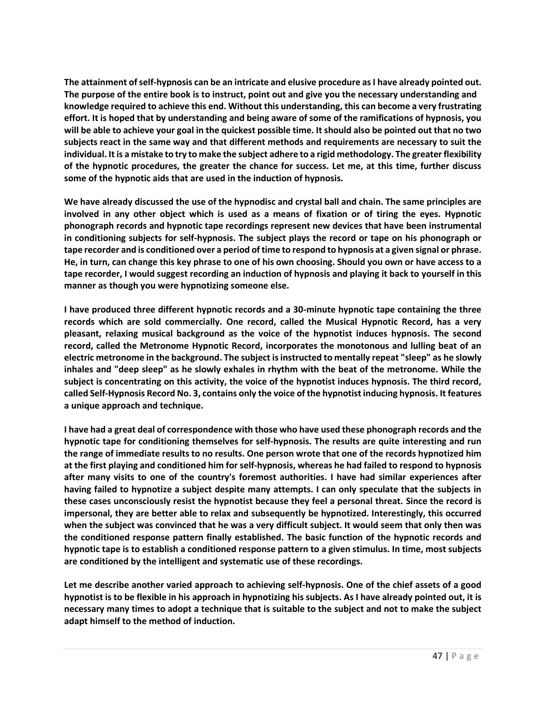**The attainment of self-hypnosis can be an intricate and elusive procedure as I have already pointed out. The purpose of the entire book is to instruct, point out and give you the necessary understanding and knowledge required to achieve this end. Without this understanding, this can become a very frustrating effort. It is hoped that by understanding and being aware of some of the ramifications of hypnosis, you will be able to achieve your goal in the quickest possible time. It should also be pointed out that no two subjects react in the same way and that different methods and requirements are necessary to suit the individual. It is a mistake to try to make the subject adhere to a rigid methodology. The greater flexibility of the hypnotic procedures, the greater the chance for success. Let me, at this time, further discuss some of the hypnotic aids that are used in the induction of hypnosis.**

**We have already discussed the use of the hypnodisc and crystal ball and chain. The same principles are involved in any other object which is used as a means of fixation or of tiring the eyes. Hypnotic phonograph records and hypnotic tape recordings represent new devices that have been instrumental in conditioning subjects for self-hypnosis. The subject plays the record or tape on his phonograph or tape recorder and is conditioned over a period of time to respond to hypnosis at a given signal or phrase. He, in turn, can change this key phrase to one of his own choosing. Should you own or have access to a tape recorder, I would suggest recording an induction of hypnosis and playing it back to yourself in this manner as though you were hypnotizing someone else.**

**I have produced three different hypnotic records and a 30-minute hypnotic tape containing the three records which are sold commercially. One record, called the Musical Hypnotic Record, has a very pleasant, relaxing musical background as the voice of the hypnotist induces hypnosis. The second record, called the Metronome Hypnotic Record, incorporates the monotonous and lulling beat of an electric metronome in the background. The subject is instructed to mentally repeat "sleep" as he slowly inhales and "deep sleep" as he slowly exhales in rhythm with the beat of the metronome. While the subject is concentrating on this activity, the voice of the hypnotist induces hypnosis. The third record, called Self-Hypnosis Record No. 3, contains only the voice of the hypnotist inducing hypnosis. It features a unique approach and technique.**

**I have had a great deal of correspondence with those who have used these phonograph records and the hypnotic tape for conditioning themselves for self-hypnosis. The results are quite interesting and run the range of immediate results to no results. One person wrote that one of the records hypnotized him at the first playing and conditioned him for self-hypnosis, whereas he had failed to respond to hypnosis after many visits to one of the country's foremost authorities. I have had similar experiences after having failed to hypnotize a subject despite many attempts. I can only speculate that the subjects in these cases unconsciously resist the hypnotist because they feel a personal threat. Since the record is impersonal, they are better able to relax and subsequently be hypnotized. Interestingly, this occurred when the subject was convinced that he was a very difficult subject. It would seem that only then was the conditioned response pattern finally established. The basic function of the hypnotic records and hypnotic tape is to establish a conditioned response pattern to a given stimulus. In time, most subjects are conditioned by the intelligent and systematic use of these recordings.**

**Let me describe another varied approach to achieving self-hypnosis. One of the chief assets of a good hypnotist is to be flexible in his approach in hypnotizing his subjects. As I have already pointed out, it is necessary many times to adopt a technique that is suitable to the subject and not to make the subject adapt himself to the method of induction.**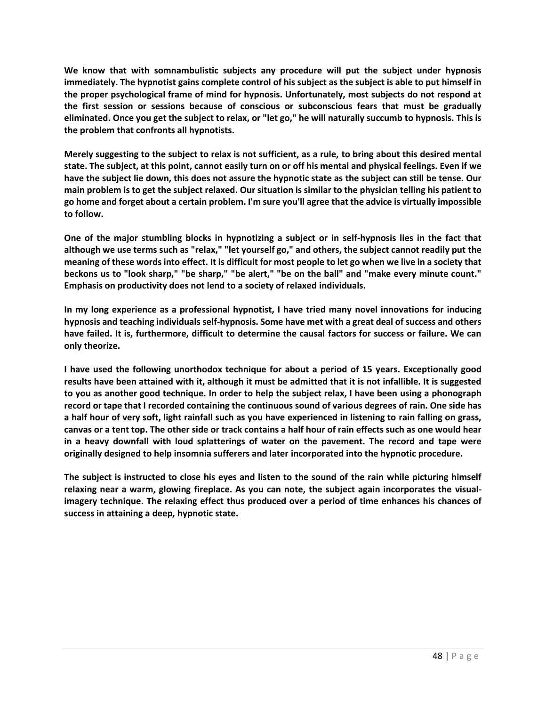**We know that with somnambulistic subjects any procedure will put the subject under hypnosis immediately. The hypnotist gains complete control of his subject as the subject is able to put himself in the proper psychological frame of mind for hypnosis. Unfortunately, most subjects do not respond at the first session or sessions because of conscious or subconscious fears that must be gradually eliminated. Once you get the subject to relax, or "let go," he will naturally succumb to hypnosis. This is the problem that confronts all hypnotists.**

**Merely suggesting to the subject to relax is not sufficient, as a rule, to bring about this desired mental state. The subject, at this point, cannot easily turn on or off his mental and physical feelings. Even if we have the subject lie down, this does not assure the hypnotic state as the subject can still be tense. Our main problem is to get the subject relaxed. Our situation is similar to the physician telling his patient to go home and forget about a certain problem. I'm sure you'll agree that the advice is virtually impossible to follow.**

**One of the major stumbling blocks in hypnotizing a subject or in self-hypnosis lies in the fact that although we use terms such as "relax," "let yourself go," and others, the subject cannot readily put the meaning of these words into effect. It is difficult for most people to let go when we live in a society that beckons us to "look sharp," "be sharp," "be alert," "be on the ball" and "make every minute count." Emphasis on productivity does not lend to a society of relaxed individuals.**

**In my long experience as a professional hypnotist, I have tried many novel innovations for inducing hypnosis and teaching individuals self-hypnosis. Some have met with a great deal of success and others have failed. It is, furthermore, difficult to determine the causal factors for success or failure. We can only theorize.**

**I have used the following unorthodox technique for about a period of 15 years. Exceptionally good results have been attained with it, although it must be admitted that it is not infallible. It is suggested to you as another good technique. In order to help the subject relax, I have been using a phonograph record or tape that I recorded containing the continuous sound of various degrees of rain. One side has a half hour of very soft, light rainfall such as you have experienced in listening to rain falling on grass, canvas or a tent top. The other side or track contains a half hour of rain effects such as one would hear in a heavy downfall with loud splatterings of water on the pavement. The record and tape were originally designed to help insomnia sufferers and later incorporated into the hypnotic procedure.**

**The subject is instructed to close his eyes and listen to the sound of the rain while picturing himself relaxing near a warm, glowing fireplace. As you can note, the subject again incorporates the visualimagery technique. The relaxing effect thus produced over a period of time enhances his chances of success in attaining a deep, hypnotic state.**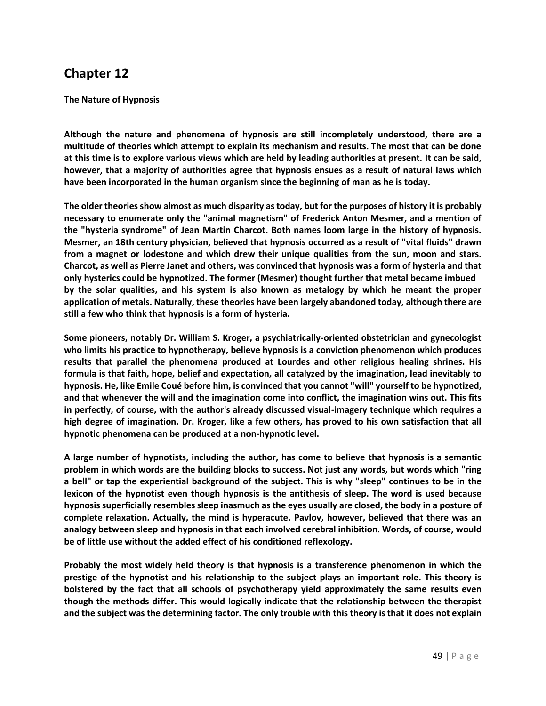**The Nature of Hypnosis**

**Although the nature and phenomena of hypnosis are still incompletely understood, there are a multitude of theories which attempt to explain its mechanism and results. The most that can be done at this time is to explore various views which are held by leading authorities at present. It can be said, however, that a majority of authorities agree that hypnosis ensues as a result of natural laws which have been incorporated in the human organism since the beginning of man as he is today.**

**The older theories show almost as much disparity as today, but for the purposes of history it is probably necessary to enumerate only the "animal magnetism" of Frederick Anton Mesmer, and a mention of the "hysteria syndrome" of Jean Martin Charcot. Both names loom large in the history of hypnosis. Mesmer, an 18th century physician, believed that hypnosis occurred as a result of "vital fluids" drawn from a magnet or lodestone and which drew their unique qualities from the sun, moon and stars. Charcot, as well as Pierre Janet and others, was convinced that hypnosis was a form of hysteria and that only hysterics could be hypnotized. The former (Mesmer) thought further that metal became imbued by the solar qualities, and his system is also known as metalogy by which he meant the proper application of metals. Naturally, these theories have been largely abandoned today, although there are still a few who think that hypnosis is a form of hysteria.**

**Some pioneers, notably Dr. William S. Kroger, a psychiatrically-oriented obstetrician and gynecologist who limits his practice to hypnotherapy, believe hypnosis is a conviction phenomenon which produces results that parallel the phenomena produced at Lourdes and other religious healing shrines. His formula is that faith, hope, belief and expectation, all catalyzed by the imagination, lead inevitably to hypnosis. He, like Emile Coué before him, is convinced that you cannot "will" yourself to be hypnotized, and that whenever the will and the imagination come into conflict, the imagination wins out. This fits in perfectly, of course, with the author's already discussed visual-imagery technique which requires a high degree of imagination. Dr. Kroger, like a few others, has proved to his own satisfaction that all hypnotic phenomena can be produced at a non-hypnotic level.**

**A large number of hypnotists, including the author, has come to believe that hypnosis is a semantic problem in which words are the building blocks to success. Not just any words, but words which "ring a bell" or tap the experiential background of the subject. This is why "sleep" continues to be in the lexicon of the hypnotist even though hypnosis is the antithesis of sleep. The word is used because hypnosis superficially resembles sleep inasmuch as the eyes usually are closed, the body in a posture of complete relaxation. Actually, the mind is hyperacute. Pavlov, however, believed that there was an analogy between sleep and hypnosis in that each involved cerebral inhibition. Words, of course, would be of little use without the added effect of his conditioned reflexology.**

**Probably the most widely held theory is that hypnosis is a transference phenomenon in which the prestige of the hypnotist and his relationship to the subject plays an important role. This theory is bolstered by the fact that all schools of psychotherapy yield approximately the same results even though the methods differ. This would logically indicate that the relationship between the therapist and the subject was the determining factor. The only trouble with this theory is that it does not explain**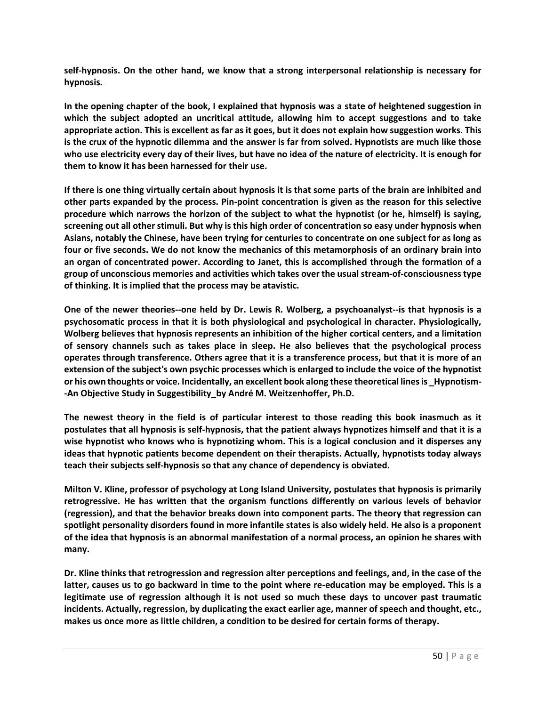**self-hypnosis. On the other hand, we know that a strong interpersonal relationship is necessary for hypnosis.**

**In the opening chapter of the book, I explained that hypnosis was a state of heightened suggestion in which the subject adopted an uncritical attitude, allowing him to accept suggestions and to take appropriate action. This is excellent as far as it goes, but it does not explain how suggestion works. This is the crux of the hypnotic dilemma and the answer is far from solved. Hypnotists are much like those who use electricity every day of their lives, but have no idea of the nature of electricity. It is enough for them to know it has been harnessed for their use.**

**If there is one thing virtually certain about hypnosis it is that some parts of the brain are inhibited and other parts expanded by the process. Pin-point concentration is given as the reason for this selective procedure which narrows the horizon of the subject to what the hypnotist (or he, himself) is saying, screening out all other stimuli. But why is this high order of concentration so easy under hypnosis when Asians, notably the Chinese, have been trying for centuries to concentrate on one subject for as long as four or five seconds. We do not know the mechanics of this metamorphosis of an ordinary brain into an organ of concentrated power. According to Janet, this is accomplished through the formation of a group of unconscious memories and activities which takes over the usual stream-of-consciousness type of thinking. It is implied that the process may be atavistic.**

**One of the newer theories--one held by Dr. Lewis R. Wolberg, a psychoanalyst--is that hypnosis is a psychosomatic process in that it is both physiological and psychological in character. Physiologically, Wolberg believes that hypnosis represents an inhibition of the higher cortical centers, and a limitation of sensory channels such as takes place in sleep. He also believes that the psychological process operates through transference. Others agree that it is a transference process, but that it is more of an extension of the subject's own psychic processes which is enlarged to include the voice of the hypnotist or his own thoughts or voice. Incidentally, an excellent book along these theoretical lines is \_Hypnotism- -An Objective Study in Suggestibility\_by André M. Weitzenhoffer, Ph.D.**

**The newest theory in the field is of particular interest to those reading this book inasmuch as it postulates that all hypnosis is self-hypnosis, that the patient always hypnotizes himself and that it is a wise hypnotist who knows who is hypnotizing whom. This is a logical conclusion and it disperses any ideas that hypnotic patients become dependent on their therapists. Actually, hypnotists today always teach their subjects self-hypnosis so that any chance of dependency is obviated.**

**Milton V. Kline, professor of psychology at Long Island University, postulates that hypnosis is primarily retrogressive. He has written that the organism functions differently on various levels of behavior (regression), and that the behavior breaks down into component parts. The theory that regression can spotlight personality disorders found in more infantile states is also widely held. He also is a proponent of the idea that hypnosis is an abnormal manifestation of a normal process, an opinion he shares with many.**

**Dr. Kline thinks that retrogression and regression alter perceptions and feelings, and, in the case of the latter, causes us to go backward in time to the point where re-education may be employed. This is a legitimate use of regression although it is not used so much these days to uncover past traumatic incidents. Actually, regression, by duplicating the exact earlier age, manner of speech and thought, etc., makes us once more as little children, a condition to be desired for certain forms of therapy.**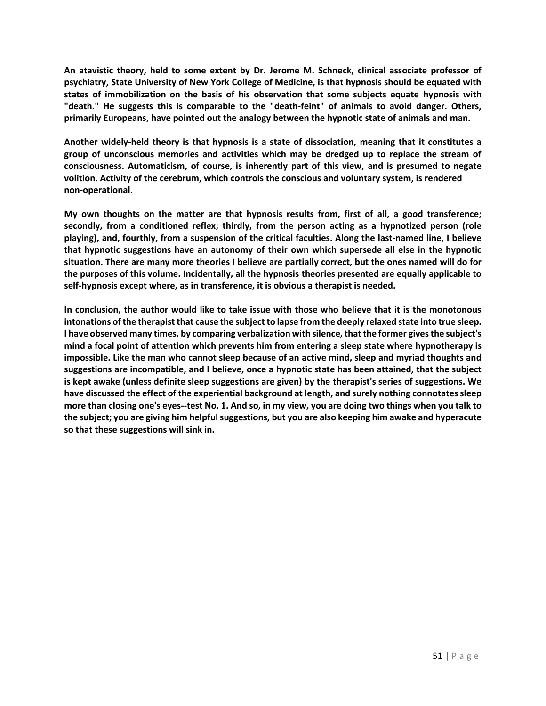**An atavistic theory, held to some extent by Dr. Jerome M. Schneck, clinical associate professor of psychiatry, State University of New York College of Medicine, is that hypnosis should be equated with states of immobilization on the basis of his observation that some subjects equate hypnosis with "death." He suggests this is comparable to the "death-feint" of animals to avoid danger. Others, primarily Europeans, have pointed out the analogy between the hypnotic state of animals and man.**

**Another widely-held theory is that hypnosis is a state of dissociation, meaning that it constitutes a group of unconscious memories and activities which may be dredged up to replace the stream of consciousness. Automaticism, of course, is inherently part of this view, and is presumed to negate volition. Activity of the cerebrum, which controls the conscious and voluntary system, is rendered non-operational.**

**My own thoughts on the matter are that hypnosis results from, first of all, a good transference; secondly, from a conditioned reflex; thirdly, from the person acting as a hypnotized person (role playing), and, fourthly, from a suspension of the critical faculties. Along the last-named line, I believe that hypnotic suggestions have an autonomy of their own which supersede all else in the hypnotic situation. There are many more theories I believe are partially correct, but the ones named will do for the purposes of this volume. Incidentally, all the hypnosis theories presented are equally applicable to self-hypnosis except where, as in transference, it is obvious a therapist is needed.**

**In conclusion, the author would like to take issue with those who believe that it is the monotonous intonations of the therapist that cause the subject to lapse from the deeply relaxed state into true sleep. I have observed many times, by comparing verbalization with silence, that the former gives the subject's mind a focal point of attention which prevents him from entering a sleep state where hypnotherapy is impossible. Like the man who cannot sleep because of an active mind, sleep and myriad thoughts and suggestions are incompatible, and I believe, once a hypnotic state has been attained, that the subject is kept awake (unless definite sleep suggestions are given) by the therapist's series of suggestions. We have discussed the effect of the experiential background at length, and surely nothing connotates sleep more than closing one's eyes--test No. 1. And so, in my view, you are doing two things when you talk to the subject; you are giving him helpful suggestions, but you are also keeping him awake and hyperacute so that these suggestions will sink in.**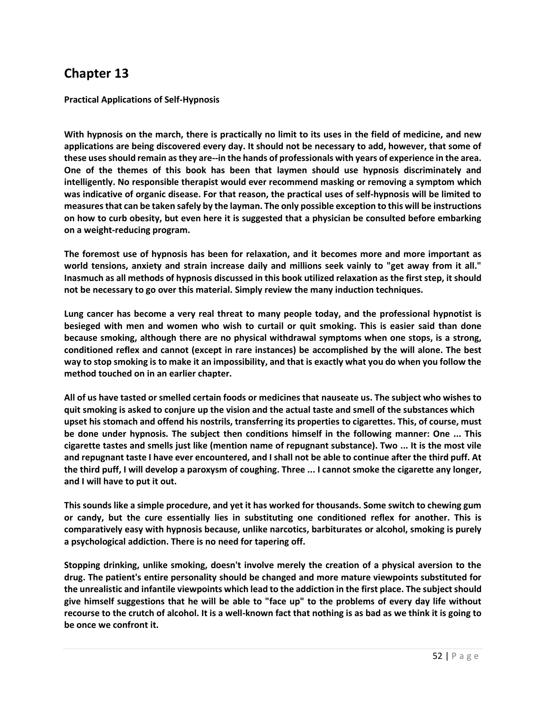**Practical Applications of Self-Hypnosis**

**With hypnosis on the march, there is practically no limit to its uses in the field of medicine, and new applications are being discovered every day. It should not be necessary to add, however, that some of these usesshould remain as they are--in the hands of professionals with years of experience in the area. One of the themes of this book has been that laymen should use hypnosis discriminately and intelligently. No responsible therapist would ever recommend masking or removing a symptom which was indicative of organic disease. For that reason, the practical uses of self-hypnosis will be limited to measures that can be taken safely by the layman. The only possible exception to this will be instructions on how to curb obesity, but even here it is suggested that a physician be consulted before embarking on a weight-reducing program.**

**The foremost use of hypnosis has been for relaxation, and it becomes more and more important as world tensions, anxiety and strain increase daily and millions seek vainly to "get away from it all." Inasmuch as all methods of hypnosis discussed in this book utilized relaxation as the first step, it should not be necessary to go over this material. Simply review the many induction techniques.**

**Lung cancer has become a very real threat to many people today, and the professional hypnotist is besieged with men and women who wish to curtail or quit smoking. This is easier said than done because smoking, although there are no physical withdrawal symptoms when one stops, is a strong, conditioned reflex and cannot (except in rare instances) be accomplished by the will alone. The best way to stop smoking is to make it an impossibility, and that is exactly what you do when you follow the method touched on in an earlier chapter.**

**All of us have tasted or smelled certain foods or medicines that nauseate us. The subject who wishes to quit smoking is asked to conjure up the vision and the actual taste and smell of the substances which upset his stomach and offend his nostrils, transferring its properties to cigarettes. This, of course, must be done under hypnosis. The subject then conditions himself in the following manner: One ... This cigarette tastes and smells just like (mention name of repugnant substance). Two ... It is the most vile and repugnant taste I have ever encountered, and I shall not be able to continue after the third puff. At the third puff, I will develop a paroxysm of coughing. Three ... I cannot smoke the cigarette any longer, and I will have to put it out.**

**This sounds like a simple procedure, and yet it has worked for thousands. Some switch to chewing gum or candy, but the cure essentially lies in substituting one conditioned reflex for another. This is comparatively easy with hypnosis because, unlike narcotics, barbiturates or alcohol, smoking is purely a psychological addiction. There is no need for tapering off.**

**Stopping drinking, unlike smoking, doesn't involve merely the creation of a physical aversion to the drug. The patient's entire personality should be changed and more mature viewpoints substituted for the unrealistic and infantile viewpoints which lead to the addiction in the first place. The subject should give himself suggestions that he will be able to "face up" to the problems of every day life without recourse to the crutch of alcohol. It is a well-known fact that nothing is as bad as we think it is going to be once we confront it.**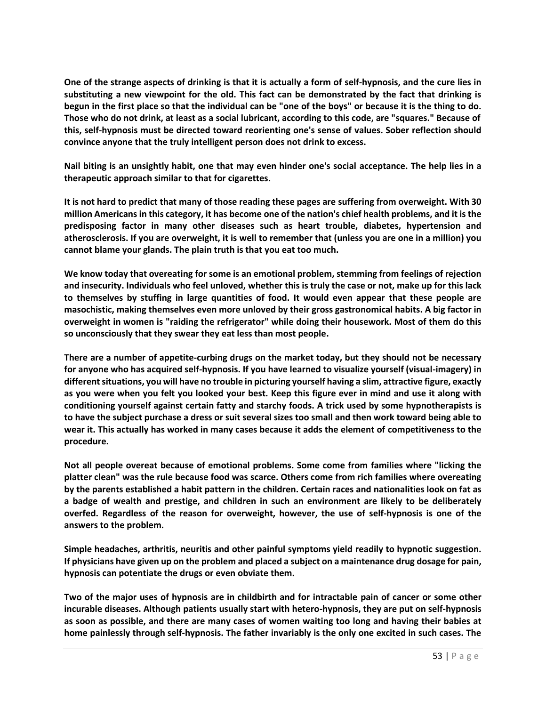**One of the strange aspects of drinking is that it is actually a form of self-hypnosis, and the cure lies in substituting a new viewpoint for the old. This fact can be demonstrated by the fact that drinking is begun in the first place so that the individual can be "one of the boys" or because it is the thing to do. Those who do not drink, at least as a social lubricant, according to this code, are "squares." Because of this, self-hypnosis must be directed toward reorienting one's sense of values. Sober reflection should convince anyone that the truly intelligent person does not drink to excess.**

**Nail biting is an unsightly habit, one that may even hinder one's social acceptance. The help lies in a therapeutic approach similar to that for cigarettes.**

**It is not hard to predict that many of those reading these pages are suffering from overweight. With 30 million Americans in this category, it has become one of the nation's chief health problems, and it is the predisposing factor in many other diseases such as heart trouble, diabetes, hypertension and atherosclerosis. If you are overweight, it is well to remember that (unless you are one in a million) you cannot blame your glands. The plain truth is that you eat too much.**

**We know today that overeating for some is an emotional problem, stemming from feelings of rejection and insecurity. Individuals who feel unloved, whether this is truly the case or not, make up for this lack to themselves by stuffing in large quantities of food. It would even appear that these people are masochistic, making themselves even more unloved by their gross gastronomical habits. A big factor in overweight in women is "raiding the refrigerator" while doing their housework. Most of them do this so unconsciously that they swear they eat less than most people.**

**There are a number of appetite-curbing drugs on the market today, but they should not be necessary for anyone who has acquired self-hypnosis. If you have learned to visualize yourself (visual-imagery) in differentsituations, you will have no trouble in picturing yourself having a slim, attractive figure, exactly as you were when you felt you looked your best. Keep this figure ever in mind and use it along with conditioning yourself against certain fatty and starchy foods. A trick used by some hypnotherapists is to have the subject purchase a dress or suit several sizes too small and then work toward being able to wear it. This actually has worked in many cases because it adds the element of competitiveness to the procedure.**

**Not all people overeat because of emotional problems. Some come from families where "licking the platter clean" was the rule because food was scarce. Others come from rich families where overeating by the parents established a habit pattern in the children. Certain races and nationalities look on fat as a badge of wealth and prestige, and children in such an environment are likely to be deliberately overfed. Regardless of the reason for overweight, however, the use of self-hypnosis is one of the answers to the problem.**

**Simple headaches, arthritis, neuritis and other painful symptoms yield readily to hypnotic suggestion. If physicians have given up on the problem and placed a subject on a maintenance drug dosage for pain, hypnosis can potentiate the drugs or even obviate them.**

**Two of the major uses of hypnosis are in childbirth and for intractable pain of cancer or some other incurable diseases. Although patients usually start with hetero-hypnosis, they are put on self-hypnosis as soon as possible, and there are many cases of women waiting too long and having their babies at home painlessly through self-hypnosis. The father invariably is the only one excited in such cases. The**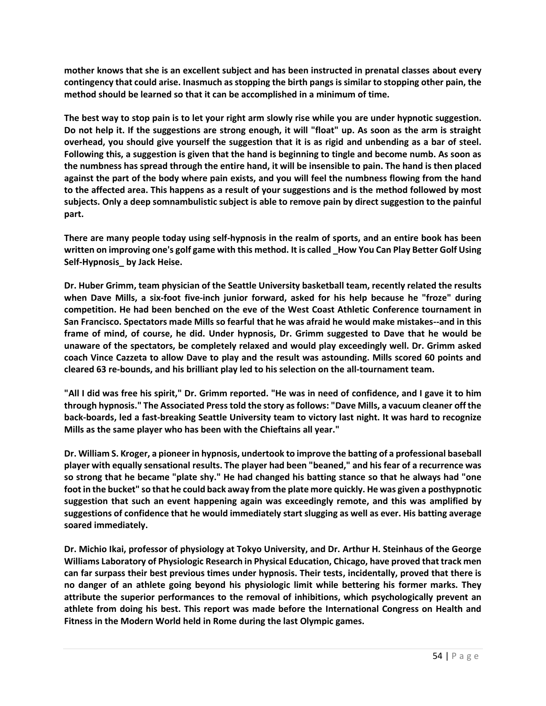**mother knows that she is an excellent subject and has been instructed in prenatal classes about every contingency that could arise. Inasmuch as stopping the birth pangs is similar to stopping other pain, the method should be learned so that it can be accomplished in a minimum of time.**

**The best way to stop pain is to let your right arm slowly rise while you are under hypnotic suggestion. Do not help it. If the suggestions are strong enough, it will "float" up. As soon as the arm is straight overhead, you should give yourself the suggestion that it is as rigid and unbending as a bar of steel. Following this, a suggestion is given that the hand is beginning to tingle and become numb. As soon as the numbness has spread through the entire hand, it will be insensible to pain. The hand is then placed against the part of the body where pain exists, and you will feel the numbness flowing from the hand to the affected area. This happens as a result of your suggestions and is the method followed by most subjects. Only a deep somnambulistic subject is able to remove pain by direct suggestion to the painful part.**

**There are many people today using self-hypnosis in the realm of sports, and an entire book has been written on improving one's golf game with this method. It is called \_How You Can Play Better Golf Using Self-Hypnosis\_ by Jack Heise.**

**Dr. Huber Grimm, team physician of the Seattle University basketball team, recently related the results when Dave Mills, a six-foot five-inch junior forward, asked for his help because he "froze" during competition. He had been benched on the eve of the West Coast Athletic Conference tournament in San Francisco. Spectators made Mills so fearful that he was afraid he would make mistakes--and in this frame of mind, of course, he did. Under hypnosis, Dr. Grimm suggested to Dave that he would be unaware of the spectators, be completely relaxed and would play exceedingly well. Dr. Grimm asked coach Vince Cazzeta to allow Dave to play and the result was astounding. Mills scored 60 points and cleared 63 re-bounds, and his brilliant play led to his selection on the all-tournament team.**

**"All I did was free his spirit," Dr. Grimm reported. "He was in need of confidence, and I gave it to him through hypnosis." The Associated Presstold the story as follows: "Dave Mills, a vacuum cleaner off the back-boards, led a fast-breaking Seattle University team to victory last night. It was hard to recognize Mills as the same player who has been with the Chieftains all year."**

**Dr. William S. Kroger, a pioneer in hypnosis, undertook to improve the batting of a professional baseball player with equally sensational results. The player had been "beaned," and his fear of a recurrence was so strong that he became "plate shy." He had changed his batting stance so that he always had "one foot in the bucket" so that he could back away from the plate more quickly. He was given a posthypnotic suggestion that such an event happening again was exceedingly remote, and this was amplified by suggestions of confidence that he would immediately start slugging as well as ever. His batting average soared immediately.**

**Dr. Michio Ikai, professor of physiology at Tokyo University, and Dr. Arthur H. Steinhaus of the George Williams Laboratory of Physiologic Research in Physical Education, Chicago, have proved that track men can far surpass their best previous times under hypnosis. Their tests, incidentally, proved that there is no danger of an athlete going beyond his physiologic limit while bettering his former marks. They attribute the superior performances to the removal of inhibitions, which psychologically prevent an athlete from doing his best. This report was made before the International Congress on Health and Fitness in the Modern World held in Rome during the last Olympic games.**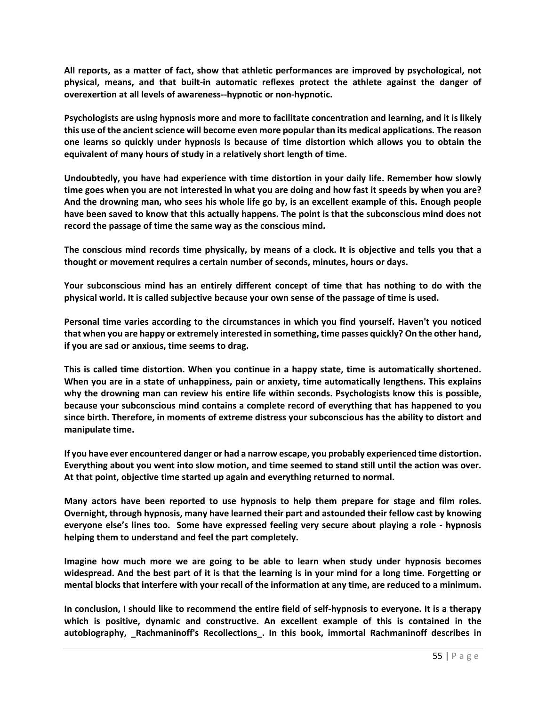**All reports, as a matter of fact, show that athletic performances are improved by psychological, not physical, means, and that built-in automatic reflexes protect the athlete against the danger of overexertion at all levels of awareness--hypnotic or non-hypnotic.**

**Psychologists are using hypnosis more and more to facilitate concentration and learning, and it is likely this use of the ancientscience will become even more popular than its medical applications. The reason one learns so quickly under hypnosis is because of time distortion which allows you to obtain the equivalent of many hours of study in a relatively short length of time.**

**Undoubtedly, you have had experience with time distortion in your daily life. Remember how slowly time goes when you are not interested in what you are doing and how fast it speeds by when you are? And the drowning man, who sees his whole life go by, is an excellent example of this. Enough people have been saved to know that this actually happens. The point is that the subconscious mind does not record the passage of time the same way as the conscious mind.**

**The conscious mind records time physically, by means of a clock. It is objective and tells you that a thought or movement requires a certain number of seconds, minutes, hours or days.**

**Your subconscious mind has an entirely different concept of time that has nothing to do with the physical world. It is called subjective because your own sense of the passage of time is used.**

**Personal time varies according to the circumstances in which you find yourself. Haven't you noticed that when you are happy or extremely interested in something, time passes quickly? On the other hand, if you are sad or anxious, time seems to drag.**

**This is called time distortion. When you continue in a happy state, time is automatically shortened. When you are in a state of unhappiness, pain or anxiety, time automatically lengthens. This explains why the drowning man can review his entire life within seconds. Psychologists know this is possible, because your subconscious mind contains a complete record of everything that has happened to you since birth. Therefore, in moments of extreme distress your subconscious has the ability to distort and manipulate time.**

**If you have ever encountered danger or had a narrow escape, you probably experienced time distortion. Everything about you went into slow motion, and time seemed to stand still until the action was over. At that point, objective time started up again and everything returned to normal.**

**Many actors have been reported to use hypnosis to help them prepare for stage and film roles. Overnight, through hypnosis, many have learned their part and astounded their fellow cast by knowing everyone else's lines too. Some have expressed feeling very secure about playing a role - hypnosis helping them to understand and feel the part completely.**

**Imagine how much more we are going to be able to learn when study under hypnosis becomes widespread. And the best part of it is that the learning is in your mind for a long time. Forgetting or mental blocksthat interfere with your recall of the information at any time, are reduced to a minimum.**

**In conclusion, I should like to recommend the entire field of self-hypnosis to everyone. It is a therapy which is positive, dynamic and constructive. An excellent example of this is contained in the autobiography, \_Rachmaninoff's Recollections\_. In this book, immortal Rachmaninoff describes in**